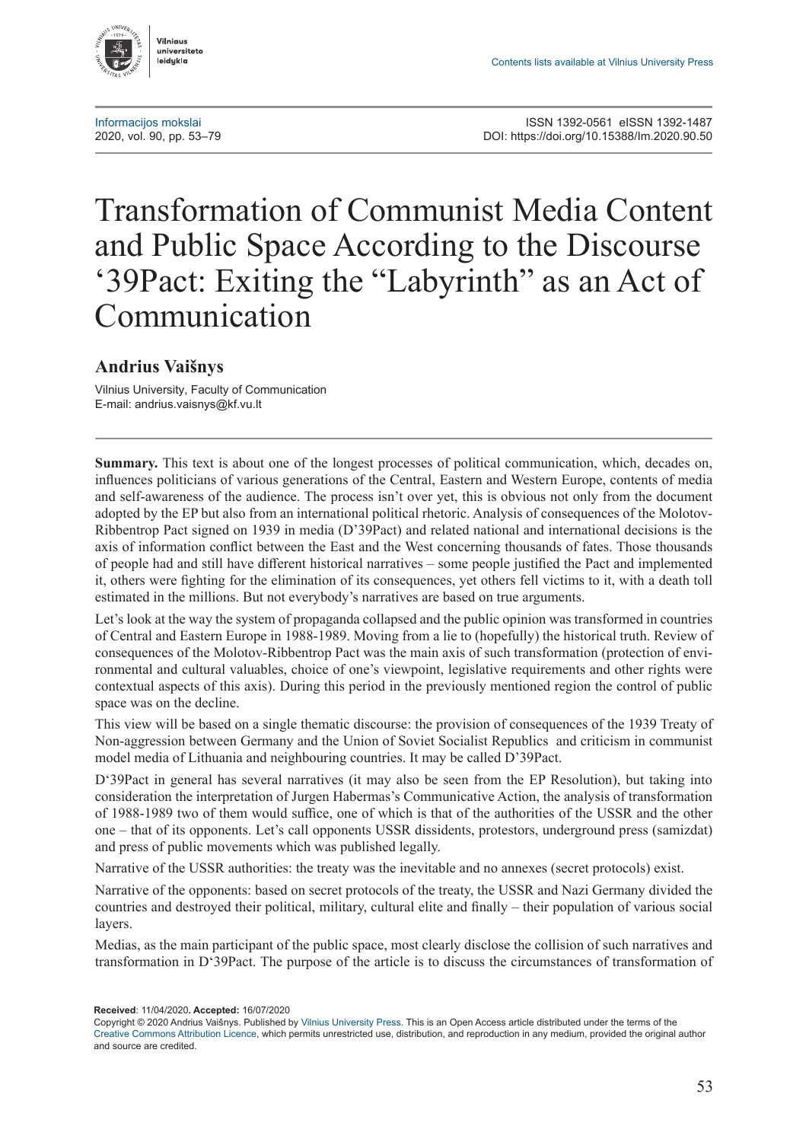

# Transformation of Communist Media Content and Public Space According to the Discourse '39Pact: Exiting the "Labyrinth" as an Act of Communication

## **Andrius Vaišnys**

Vilnius University, Faculty of Communication E-mail: [andrius.vaisnys@kf.vu.lt](mailto:andrius.vaisnys@kf.vu.lt)

**Summary.** This text is about one of the longest processes of political communication, which, decades on, influences politicians of various generations of the Central, Eastern and Western Europe, contents of media and self-awareness of the audience. The process isn't over yet, this is obvious not only from the document adopted by the EP but also from an international political rhetoric. Analysis of consequences of the Molotov-Ribbentrop Pact signed on 1939 in media (D'39Pact) and related national and international decisions is the axis of information conflict between the East and the West concerning thousands of fates. Those thousands of people had and still have different historical narratives – some people justified the Pact and implemented it, others were fighting for the elimination of its consequences, yet others fell victims to it, with a death toll estimated in the millions. But not everybody's narratives are based on true arguments.

Let's look at the way the system of propaganda collapsed and the public opinion was transformed in countries of Central and Eastern Europe in 1988-1989. Moving from a lie to (hopefully) the historical truth. Review of consequences of the Molotov-Ribbentrop Pact was the main axis of such transformation (protection of environmental and cultural valuables, choice of one's viewpoint, legislative requirements and other rights were contextual aspects of this axis). During this period in the previously mentioned region the control of public space was on the decline.

This view will be based on a single thematic discourse: the provision of consequences of the 1939 Treaty of Non-aggression between Germany and the Union of Soviet Socialist Republics and criticism in communist model media of Lithuania and neighbouring countries. It may be called D'39Pact.

D'39Pact in general has several narratives (it may also be seen from the EP Resolution), but taking into consideration the interpretation of Jurgen Habermas's Communicative Action, the analysis of transformation of 1988-1989 two of them would suffice, one of which is that of the authorities of the USSR and the other one – that of its opponents. Let's call opponents USSR dissidents, protestors, underground press (samizdat) and press of public movements which was published legally.

Narrative of the USSR authorities: the treaty was the inevitable and no annexes (secret protocols) exist.

Narrative of the opponents: based on secret protocols of the treaty, the USSR and Nazi Germany divided the countries and destroyed their political, military, cultural elite and finally – their population of various social layers.

Medias, as the main participant of the public space, most clearly disclose the collision of such narratives and transformation in D'39Pact. The purpose of the article is to discuss the circumstances of transformation of

**Received**: 11/04/2020**. Accepted:** 16/07/2020

Copyright © 2020 Andrius Vaišnys. Published by [Vilnius University Press.](https://www.vu.lt/leidyba/) This is an Open Access article distributed under the terms of the [Creative Commons Attribution Licence,](https://creativecommons.org/licenses/by/4.0/) which permits unrestricted use, distribution, and reproduction in any medium, provided the original author and source are credited.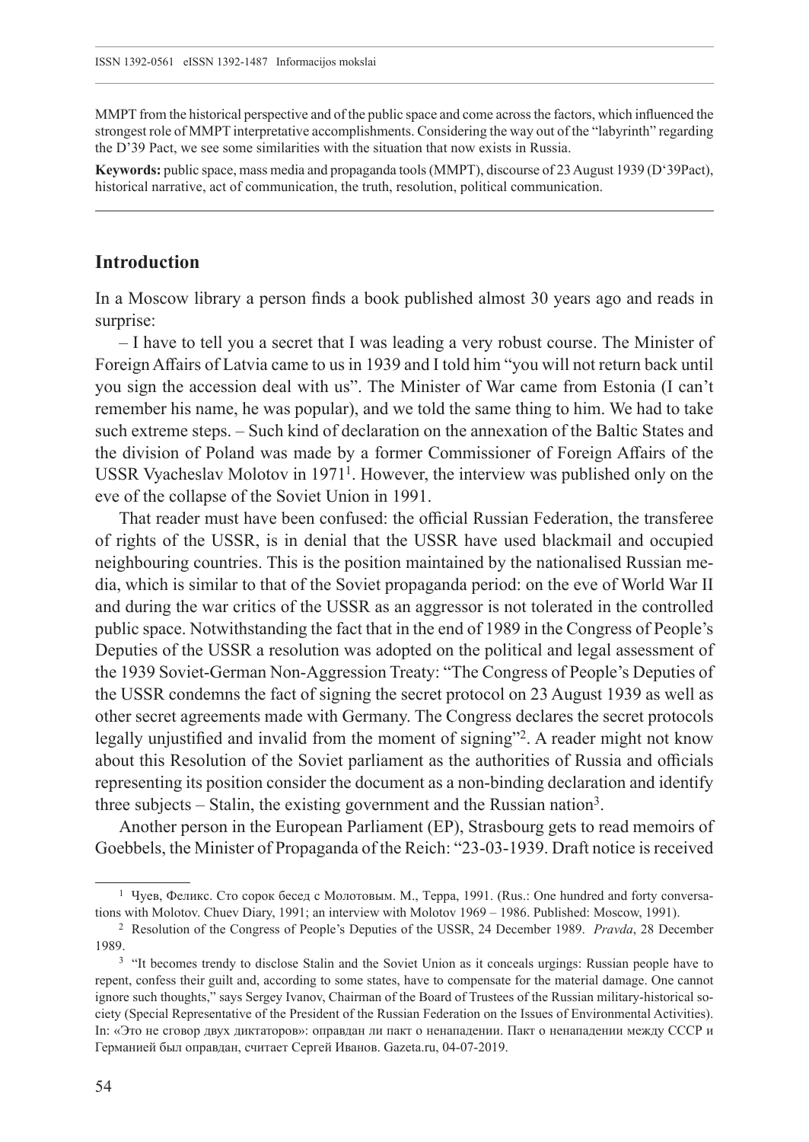MMPT from the historical perspective and of the public space and come across the factors, which influenced the strongest role of MMPT interpretative accomplishments. Considering the way out of the "labyrinth" regarding the D'39 Pact, we see some similarities with the situation that now exists in Russia.

**Keywords:** public space, mass media and propaganda tools (MMPT), discourse of 23 August 1939 (D'39Pact), historical narrative, act of communication, the truth, resolution, political communication.

#### **Introduction**

In a Moscow library a person finds a book published almost 30 years ago and reads in surprise:

– I have to tell you a secret that I was leading a very robust course. The Minister of Foreign Affairs of Latvia came to us in 1939 and I told him "you will not return back until you sign the accession deal with us". The Minister of War came from Estonia (I can't remember his name, he was popular), and we told the same thing to him. We had to take such extreme steps. – Such kind of declaration on the annexation of the Baltic States and the division of Poland was made by a former Commissioner of Foreign Affairs of the USSR Vyacheslav Molotov in  $1971<sup>1</sup>$ . However, the interview was published only on the eve of the collapse of the Soviet Union in 1991.

That reader must have been confused: the official Russian Federation, the transferee of rights of the USSR, is in denial that the USSR have used blackmail and occupied neighbouring countries. This is the position maintained by the nationalised Russian media, which is similar to that of the Soviet propaganda period: on the eve of World War II and during the war critics of the USSR as an aggressor is not tolerated in the controlled public space. Notwithstanding the fact that in the end of 1989 in the Congress of People's Deputies of the USSR a resolution was adopted on the political and legal assessment of the 1939 Soviet-German Non-Aggression Treaty: "The Congress of People's Deputies of the USSR condemns the fact of signing the secret protocol on 23 August 1939 as well as other secret agreements made with Germany. The Congress declares the secret protocols legally unjustified and invalid from the moment of signing"2. A reader might not know about this Resolution of the Soviet parliament as the authorities of Russia and officials representing its position consider the document as a non-binding declaration and identify three subjects – Stalin, the existing government and the Russian nation<sup>3</sup>.

Another person in the European Parliament (EP), Strasbourg gets to read memoirs of Goebbels, the Minister of Propaganda of the Reich: "23-03-1939. Draft notice is received

<sup>1</sup> Чуев, Феликс. Сто сорок бесед с Молотовым. М., Терра, 1991. (Rus.: One hundred and forty conversations with Molotov. Chuev Diary, 1991; an interview with Molotov 1969 – 1986. Published: Moscow, 1991).

<sup>2</sup> Resolution of the Congress of People's Deputies of the USSR, 24 December 1989. *Pravda*, 28 December 1989.<br><sup>3</sup> "It becomes trendy to disclose Stalin and the Soviet Union as it conceals urgings: Russian people have to

repent, confess their guilt and, according to some states, have to compensate for the material damage. One cannot ignore such thoughts," says Sergey Ivanov, Chairman of the Board of Trustees of the Russian military-historical society (Special Representative of the President of the Russian Federation on the Issues of Environmental Activities). In: «Это не сговор двух диктаторов»: оправдан ли пакт о ненападении. Пакт о ненападении между СССР и Германией был оправдан, считает Сергей Иванов. [Gazeta](Gazeta.ru).ru, 04-07-2019.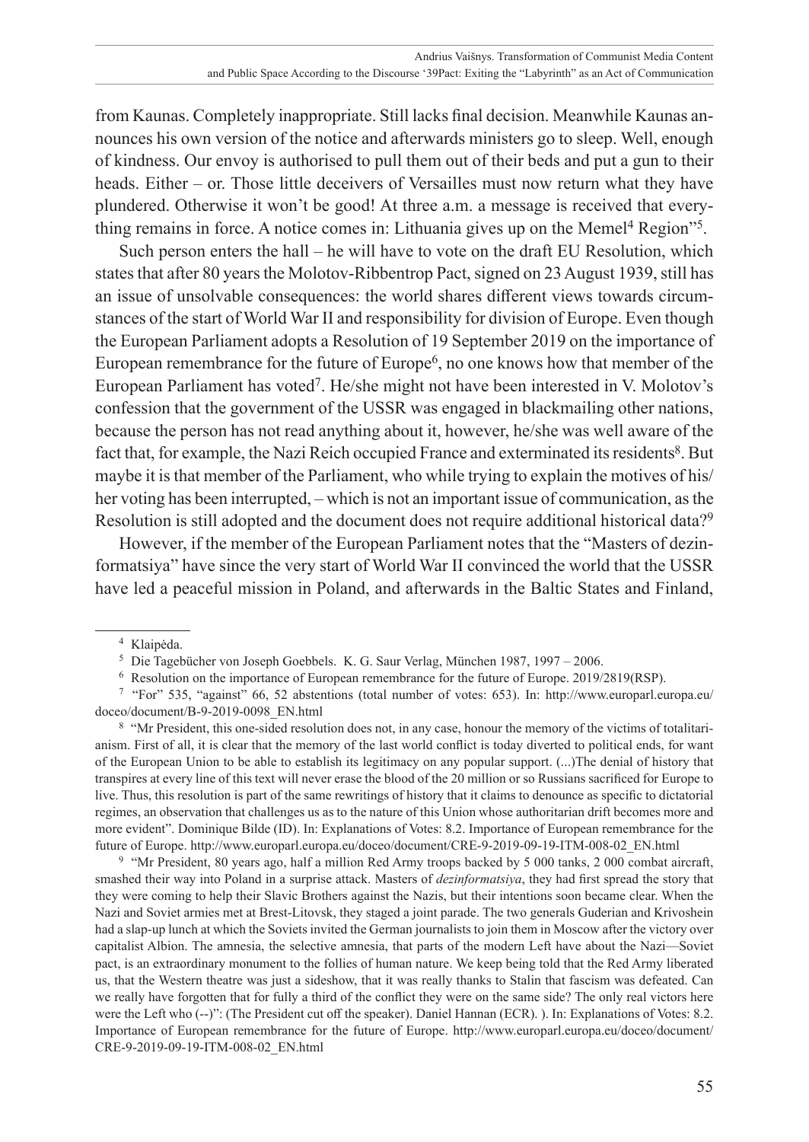from Kaunas. Completely inappropriate. Still lacks final decision. Meanwhile Kaunas announces his own version of the notice and afterwards ministers go to sleep. Well, enough of kindness. Our envoy is authorised to pull them out of their beds and put a gun to their heads. Either – or. Those little deceivers of Versailles must now return what they have plundered. Otherwise it won't be good! At three a.m. a message is received that everything remains in force. A notice comes in: Lithuania gives up on the Memel4 Region"5.

Such person enters the hall – he will have to vote on the draft EU Resolution, which states that after 80 years the Molotov-Ribbentrop Pact, signed on 23 August 1939, still has an issue of unsolvable consequences: the world shares different views towards circumstances of the start of World War II and responsibility for division of Europe. Even though the European Parliament adopts a Resolution of 19 September 2019 on the importance of European remembrance for the future of Europe<sup>6</sup>, no one knows how that member of the European Parliament has voted7. He/she might not have been interested in V. Molotov's confession that the government of the USSR was engaged in blackmailing other nations, because the person has not read anything about it, however, he/she was well aware of the fact that, for example, the Nazi Reich occupied France and exterminated its residents<sup>8</sup>. But maybe it is that member of the Parliament, who while trying to explain the motives of his/ her voting has been interrupted, – which is not an important issue of communication, as the Resolution is still adopted and the document does not require additional historical data?<sup>9</sup>

However, if the member of the European Parliament notes that the "Masters of dezinformatsiya" have since the very start of World War II convinced the world that the USSR have led a peaceful mission in Poland, and afterwards in the Baltic States and Finland,

<sup>8</sup> "Mr President, this one-sided resolution does not, in any case, honour the memory of the victims of totalitarianism. First of all, it is clear that the memory of the last world conflict is today diverted to political ends, for want of the European Union to be able to establish its legitimacy on any popular support. (...)The denial of history that transpires at every line of this text will never erase the blood of the 20 million or so Russians sacrificed for Europe to live. Thus, this resolution is part of the same rewritings of history that it claims to denounce as specific to dictatorial regimes, an observation that challenges us as to the nature of this Union whose authoritarian drift becomes more and more evident". Dominique Bilde (ID). In: Explanations of Votes: 8.2. Importance of European remembrance for the future of Europe. [http://www.europarl.europa.eu/doceo/document/CRE-9-2019-09-19-ITM-008-02\\_EN.html](http://www.europarl.europa.eu/doceo/document/CRE-9-2019-09-19-ITM-008-02_EN.html)

<sup>9</sup> "Mr President, 80 years ago, half a million Red Army troops backed by 5 000 tanks, 2 000 combat aircraft, smashed their way into Poland in a surprise attack. Masters of *dezinformatsiya*, they had first spread the story that they were coming to help their Slavic Brothers against the Nazis, but their intentions soon became clear. When the Nazi and Soviet armies met at Brest-Litovsk, they staged a joint parade. The two generals Guderian and Krivoshein had a slap-up lunch at which the Soviets invited the German journalists to join them in Moscow after the victory over capitalist Albion. The amnesia, the selective amnesia, that parts of the modern Left have about the Nazi—Soviet pact, is an extraordinary monument to the follies of human nature. We keep being told that the Red Army liberated us, that the Western theatre was just a sideshow, that it was really thanks to Stalin that fascism was defeated. Can we really have forgotten that for fully a third of the conflict they were on the same side? The only real victors here were the Left who  $(-)$ ": (The President cut off the speaker). Daniel Hannan (ECR). ). In: Explanations of Votes: 8.2. Importance of European remembrance for the future of Europe. [http://www.europarl.europa.eu/doceo/document/](http://www.europarl.europa.eu/doceo/document/CRE-9-2019-09-19-ITM-008-02_EN.html) [CRE-9-2019-09-19-ITM-008-02\\_EN.html](http://www.europarl.europa.eu/doceo/document/CRE-9-2019-09-19-ITM-008-02_EN.html)

<sup>4</sup> Klaipėda.

<sup>5</sup> Die Tagebücher von Joseph Goebbels. K. G. Saur Verlag, München 1987, 1997 – 2006.

<sup>6</sup> Resolution on the importance of European remembrance for the future of Europe. 2019/2819(RSP).

<sup>7</sup> "For" 535, "against" 66, 52 abstentions (total number of votes: 653). In: [http://www.europarl.europa.eu/](http://www.europarl.europa.eu/doceo/document/B-9-2019-0098_EN.html) [doceo/document/B-9-2019-0098\\_EN.html](http://www.europarl.europa.eu/doceo/document/B-9-2019-0098_EN.html)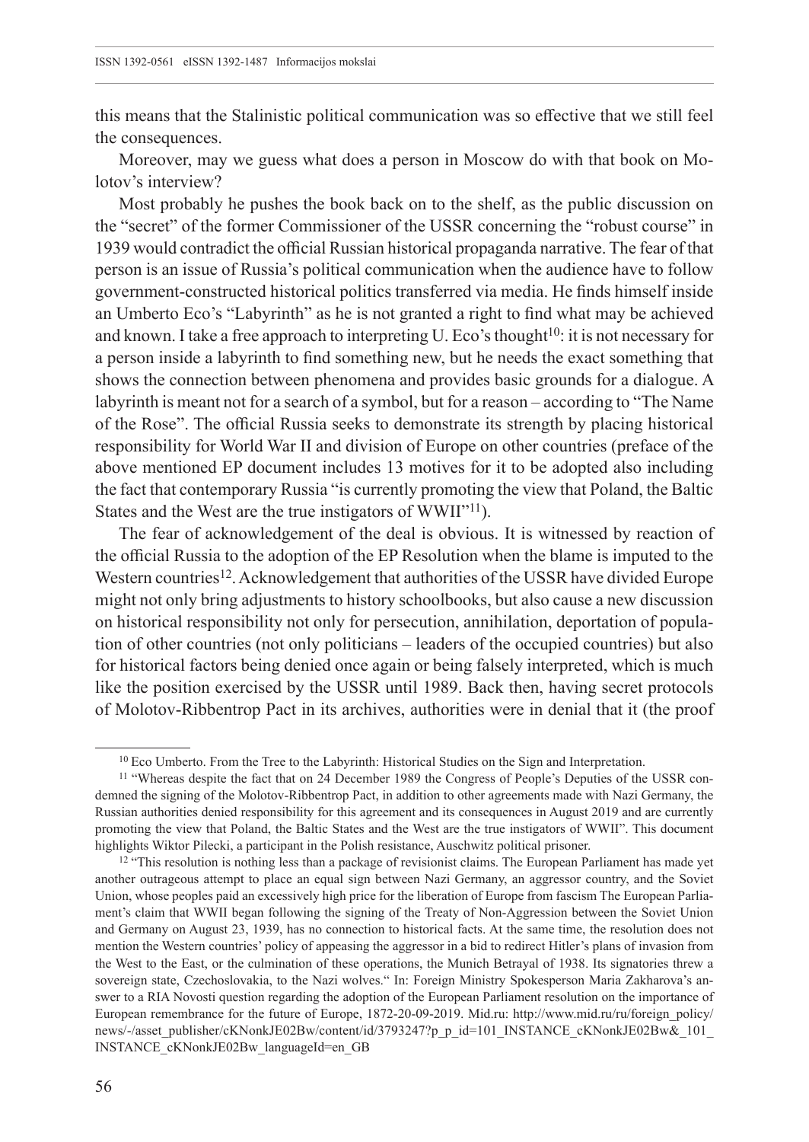this means that the Stalinistic political communication was so effective that we still feel the consequences.

Moreover, may we guess what does a person in Moscow do with that book on Molotov's interview?

Most probably he pushes the book back on to the shelf, as the public discussion on the "secret" of the former Commissioner of the USSR concerning the "robust course" in 1939 would contradict the official Russian historical propaganda narrative. The fear of that person is an issue of Russia's political communication when the audience have to follow government-constructed historical politics transferred via media. He finds himself inside an Umberto Eco's "Labyrinth" as he is not granted a right to find what may be achieved and known. I take a free approach to interpreting U. Eco's thought<sup>10</sup>: it is not necessary for a person inside a labyrinth to find something new, but he needs the exact something that shows the connection between phenomena and provides basic grounds for a dialogue. A labyrinth is meant not for a search of a symbol, but for a reason – according to "The Name of the Rose". The official Russia seeks to demonstrate its strength by placing historical responsibility for World War II and division of Europe on other countries (preface of the above mentioned EP document includes 13 motives for it to be adopted also including the fact that contemporary Russia "is currently promoting the view that Poland, the Baltic States and the West are the true instigators of WWII"<sup>11</sup>).

The fear of acknowledgement of the deal is obvious. It is witnessed by reaction of the official Russia to the adoption of the EP Resolution when the blame is imputed to the Western countries<sup>12</sup>. Acknowledgement that authorities of the USSR have divided Europe might not only bring adjustments to history schoolbooks, but also cause a new discussion on historical responsibility not only for persecution, annihilation, deportation of population of other countries (not only politicians – leaders of the occupied countries) but also for historical factors being denied once again or being falsely interpreted, which is much like the position exercised by the USSR until 1989. Back then, having secret protocols of Molotov-Ribbentrop Pact in its archives, authorities were in denial that it (the proof

<sup>&</sup>lt;sup>10</sup> Eco Umberto. From the Tree to the Labyrinth: Historical Studies on the Sign and Interpretation.

<sup>11</sup> "Whereas despite the fact that on 24 December 1989 the Congress of People's Deputies of the USSR condemned the signing of the Molotov-Ribbentrop Pact, in addition to other agreements made with Nazi Germany, the Russian authorities denied responsibility for this agreement and its consequences in August 2019 and are currently promoting the view that Poland, the Baltic States and the West are the true instigators of WWII". This document highlights Wiktor Pilecki, a participant in the Polish resistance, Auschwitz political prisoner.

<sup>&</sup>lt;sup>12</sup> "This resolution is nothing less than a package of revisionist claims. The European Parliament has made yet another outrageous attempt to place an equal sign between Nazi Germany, an aggressor country, and the Soviet Union, whose peoples paid an excessively high price for the liberation of Europe from fascism The European Parliament's claim that WWII began following the signing of the Treaty of Non-Aggression between the Soviet Union and Germany on August 23, 1939, has no connection to historical facts. At the same time, the resolution does not mention the Western countries' policy of appeasing the aggressor in a bid to redirect Hitler's plans of invasion from the West to the East, or the culmination of these operations, the Munich Betrayal of 1938. Its signatories threw a sovereign state, Czechoslovakia, to the Nazi wolves." In: Foreign Ministry Spokesperson Maria Zakharova's answer to a RIA Novosti question regarding the adoption of the European Parliament resolution on the importance of European remembrance for the future of Europe, 1872-20-09-2019. [Mid.ru:](Mid.ru) [http://www.mid.ru/ru/foreign\\_policy/](http://www.mid.ru/ru/foreign_policy/news/-/asset_publisher/cKNonkJE02Bw/content/id/3793247?p_p_id=101_INSTANCE_cKNonkJE02Bw&_101_INSTANCE_cKNonkJE02Bw_languageId=en_GB) [news/-/asset\\_publisher/cKNonkJE02Bw/content/id/3793247?p\\_p\\_id=101\\_INSTANCE\\_cKNonkJE02Bw&\\_101\\_](http://www.mid.ru/ru/foreign_policy/news/-/asset_publisher/cKNonkJE02Bw/content/id/3793247?p_p_id=101_INSTANCE_cKNonkJE02Bw&_101_INSTANCE_cKNonkJE02Bw_languageId=en_GB) [INSTANCE\\_cKNonkJE02Bw\\_languageId=en\\_GB](http://www.mid.ru/ru/foreign_policy/news/-/asset_publisher/cKNonkJE02Bw/content/id/3793247?p_p_id=101_INSTANCE_cKNonkJE02Bw&_101_INSTANCE_cKNonkJE02Bw_languageId=en_GB)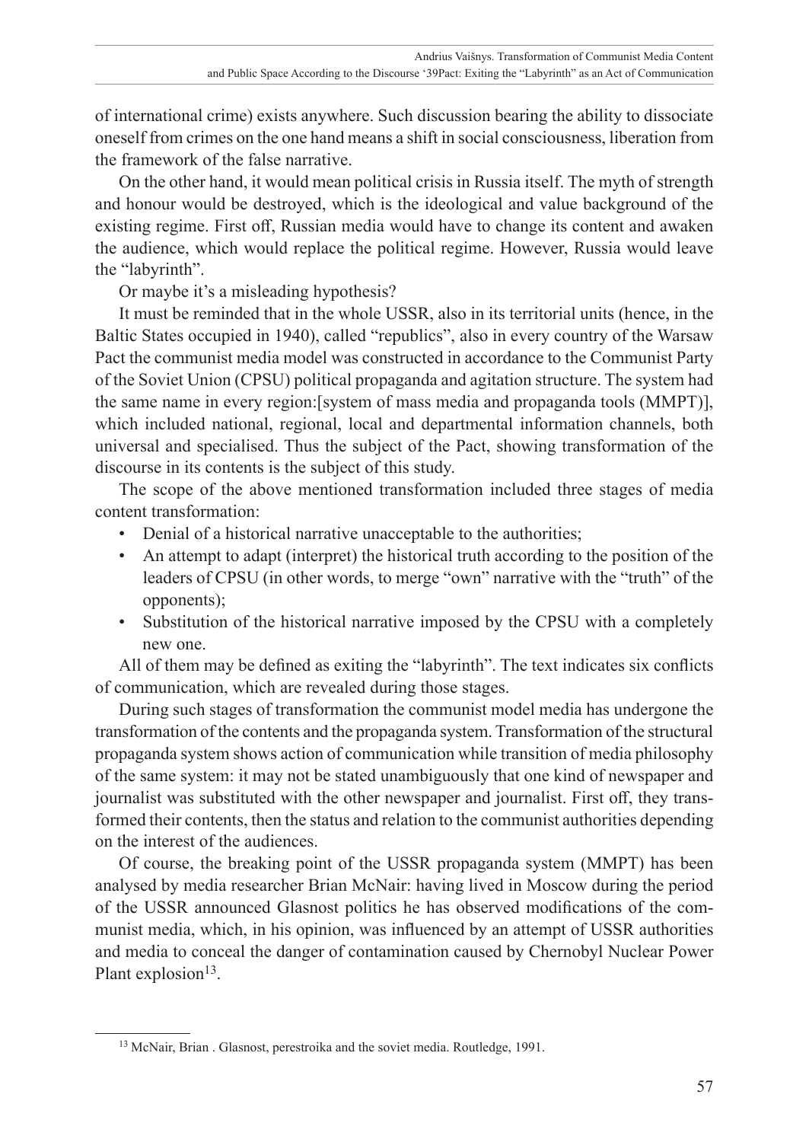of international crime) exists anywhere. Such discussion bearing the ability to dissociate oneself from crimes on the one hand means a shift in social consciousness, liberation from the framework of the false narrative.

On the other hand, it would mean political crisis in Russia itself. The myth of strength and honour would be destroyed, which is the ideological and value background of the existing regime. First off, Russian media would have to change its content and awaken the audience, which would replace the political regime. However, Russia would leave the "labyrinth".

Or maybe it's a misleading hypothesis?

It must be reminded that in the whole USSR, also in its territorial units (hence, in the Baltic States occupied in 1940), called "republics", also in every country of the Warsaw Pact the communist media model was constructed in accordance to the Communist Party of the Soviet Union (CPSU) political propaganda and agitation structure. The system had the same name in every region:[system of mass media and propaganda tools (MMPT)], which included national, regional, local and departmental information channels, both universal and specialised. Thus the subject of the Pact, showing transformation of the discourse in its contents is the subject of this study.

The scope of the above mentioned transformation included three stages of media content transformation:

- Denial of a historical narrative unacceptable to the authorities;
- An attempt to adapt (interpret) the historical truth according to the position of the leaders of CPSU (in other words, to merge "own" narrative with the "truth" of the opponents);
- Substitution of the historical narrative imposed by the CPSU with a completely new one.

All of them may be defined as exiting the "labyrinth". The text indicates six conflicts of communication, which are revealed during those stages.

During such stages of transformation the communist model media has undergone the transformation of the contents and the propaganda system. Transformation of the structural propaganda system shows action of communication while transition of media philosophy of the same system: it may not be stated unambiguously that one kind of newspaper and journalist was substituted with the other newspaper and journalist. First off, they transformed their contents, then the status and relation to the communist authorities depending on the interest of the audiences.

Of course, the breaking point of the USSR propaganda system (MMPT) has been analysed by media researcher Brian McNair: having lived in Moscow during the period of the USSR announced Glasnost politics he has observed modifications of the communist media, which, in his opinion, was influenced by an attempt of USSR authorities and media to conceal the danger of contamination caused by Chernobyl Nuclear Power Plant explosion<sup>13</sup>.

<sup>13</sup> McNair, Brian . Glasnost, perestroika and the soviet media. Routledge, 1991.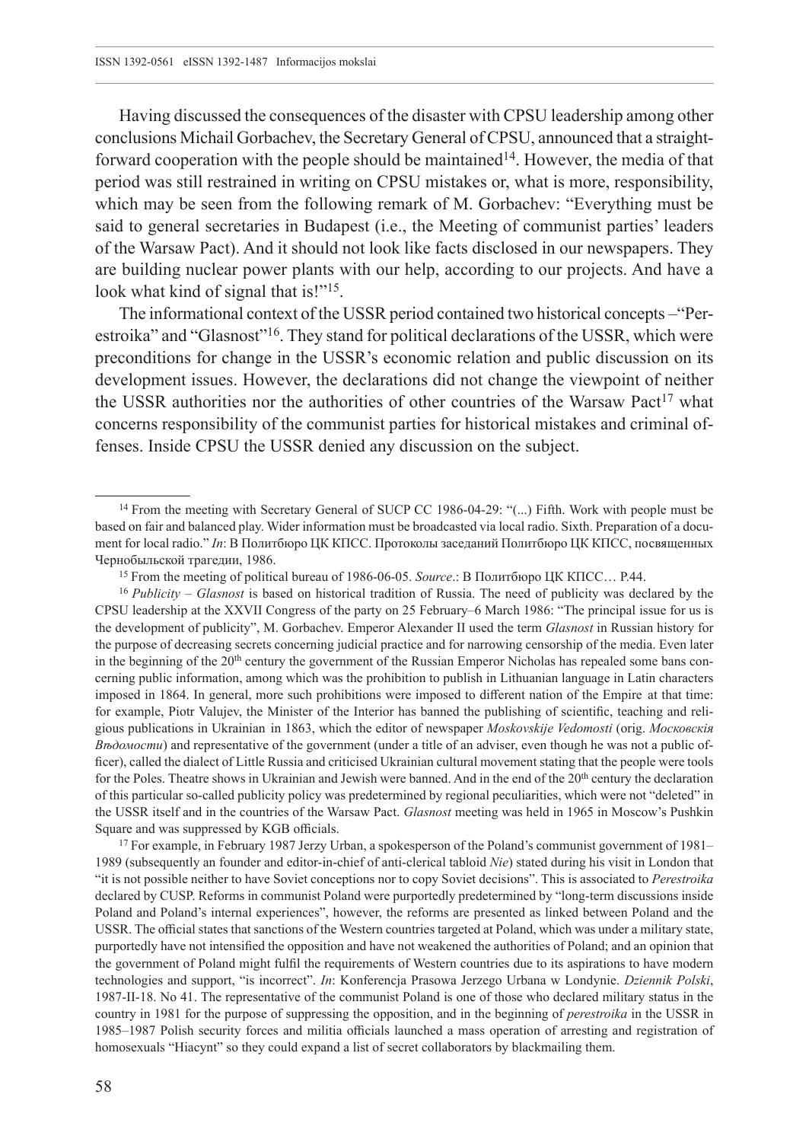Having discussed the consequences of the disaster with CPSU leadership among other conclusions Michail Gorbachev, the Secretary General of CPSU, announced that a straightforward cooperation with the people should be maintained<sup>14</sup>. However, the media of that period was still restrained in writing on CPSU mistakes or, what is more, responsibility, which may be seen from the following remark of M. Gorbachev: "Everything must be said to general secretaries in Budapest (i.e., the Meeting of communist parties' leaders of the Warsaw Pact). And it should not look like facts disclosed in our newspapers. They are building nuclear power plants with our help, according to our projects. And have a look what kind of signal that is!"<sup>15</sup>.

The informational context of the USSR period contained two historical concepts –"Perestroika" and "Glasnost"16. They stand for political declarations of the USSR, which were preconditions for change in the USSR's economic relation and public discussion on its development issues. However, the declarations did not change the viewpoint of neither the USSR authorities nor the authorities of other countries of the Warsaw Pact<sup>17</sup> what concerns responsibility of the communist parties for historical mistakes and criminal offenses. Inside CPSU the USSR denied any discussion on the subject.

<sup>17</sup> For example, in February 1987 Jerzy Urban, a spokesperson of the Poland's communist government of 1981– 1989 (subsequently an founder and editor-in-chief of anti-clerical tabloid *Nie*) stated during his visit in London that "it is not possible neither to have Soviet conceptions nor to copy Soviet decisions". This is associated to *Perestroika* declared by CUSP. Reforms in communist Poland were purportedly predetermined by "long-term discussions inside Poland and Poland's internal experiences", however, the reforms are presented as linked between Poland and the USSR. The official states that sanctions of the Western countries targeted at Poland, which was under a military state, purportedly have not intensified the opposition and have not weakened the authorities of Poland; and an opinion that the government of Poland might fulfil the requirements of Western countries due to its aspirations to have modern technologies and support, "is incorrect". *In*: Konferencja Prasowa Jerzego Urbana w Londynie. *Dziennik Polski*, 1987-II-18. No 41. The representative of the communist Poland is one of those who declared military status in the country in 1981 for the purpose of suppressing the opposition, and in the beginning of *perestroika* in the USSR in 1985–1987 Polish security forces and militia officials launched a mass operation of arresting and registration of homosexuals "Hiacynt" so they could expand a list of secret collaborators by blackmailing them.

<sup>&</sup>lt;sup>14</sup> From the meeting with Secretary General of SUCP CC 1986-04-29: "(...) Fifth. Work with people must be based on fair and balanced play. Wider information must be broadcasted via local radio. Sixth. Preparation of a document for local radio." *In*: В Политбюро ЦК КПСC. Протоколы заседаний Политбюро ЦК КПСС, посвященных Чернобыльской трагедии, 1986.

<sup>15</sup> From the meeting of political bureau of 1986-06-05. *Source*.: В Политбюро ЦК КПСС… P.44.

<sup>16</sup> *Publicity* – *Glasnost* is based on historical tradition of Russia. The need of publicity was declared by the CPSU leadership at the XXVII Congress of the party on 25 February–6 March 1986: "The principal issue for us is the development of publicity", M. Gorbachev. Emperor Alexander II used the term *Glasnost* in Russian history for the purpose of decreasing secrets concerning judicial practice and for narrowing censorship of the media. Even later in the beginning of the 20<sup>th</sup> century the government of the Russian Emperor Nicholas has repealed some bans concerning public information, among which was the prohibition to publish in Lithuanian language in Latin characters imposed in 1864. In general, more such prohibitions were imposed to different nation of the Empire at that time: for example, Piotr Valujev, the Minister of the Interior has banned the publishing of scientific, teaching and religious publications in Ukrainian in 1863, which the editor of newspaper *Moskovskije Vedomosti* (orig. *Московскія Вѣдомости*) and representative of the government (under a title of an adviser, even though he was not a public officer), called the dialect of Little Russia and criticised Ukrainian cultural movement stating that the people were tools for the Poles. Theatre shows in Ukrainian and Jewish were banned. And in the end of the 20th century the declaration of this particular so-called publicity policy was predetermined by regional peculiarities, which were not "deleted" in the USSR itself and in the countries of the Warsaw Pact. *Glasnost* meeting was held in 1965 in Moscow's Pushkin Square and was suppressed by KGB officials.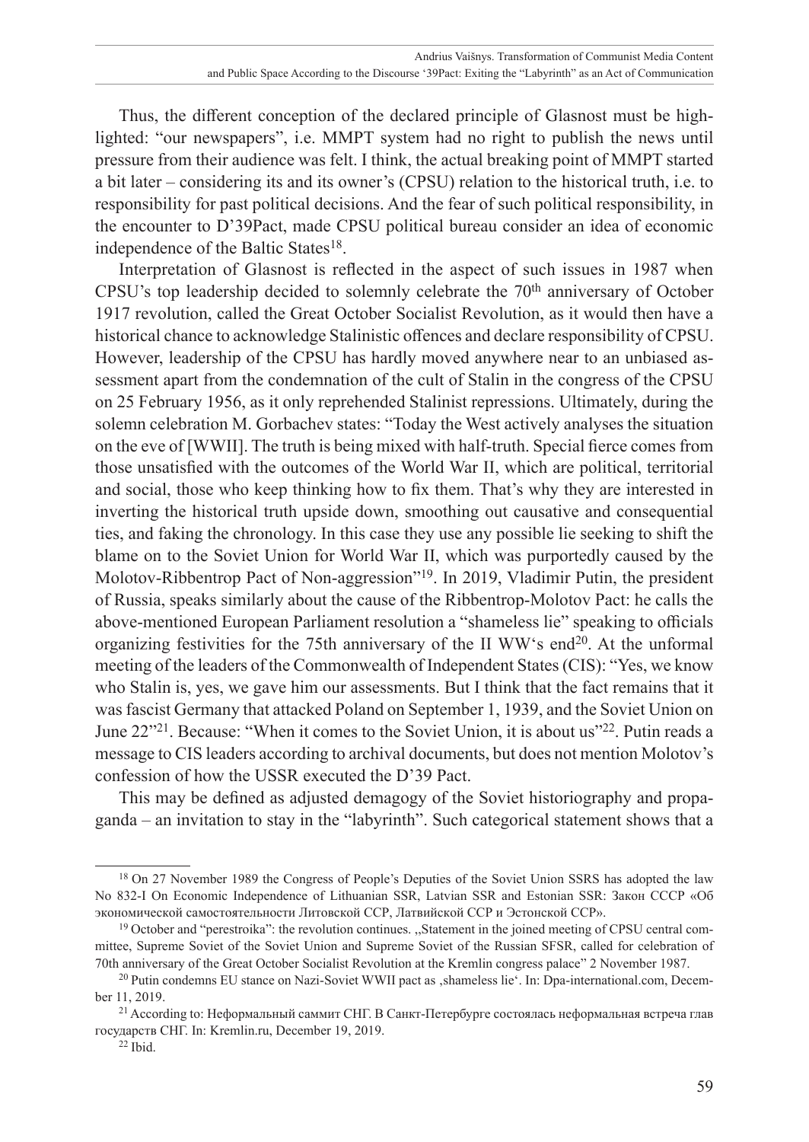Thus, the different conception of the declared principle of Glasnost must be highlighted: "our newspapers", i.e. MMPT system had no right to publish the news until pressure from their audience was felt. I think, the actual breaking point of MMPT started a bit later – considering its and its owner's (CPSU) relation to the historical truth, i.e. to responsibility for past political decisions. And the fear of such political responsibility, in the encounter to D'39Pact, made CPSU political bureau consider an idea of economic independence of the Baltic States<sup>18</sup>.

Interpretation of Glasnost is reflected in the aspect of such issues in 1987 when CPSU's top leadership decided to solemnly celebrate the 70<sup>th</sup> anniversary of October 1917 revolution, called the Great October Socialist Revolution, as it would then have a historical chance to acknowledge Stalinistic offences and declare responsibility of CPSU. However, leadership of the CPSU has hardly moved anywhere near to an unbiased assessment apart from the condemnation of the cult of Stalin in the congress of the CPSU on 25 February 1956, as it only reprehended Stalinist repressions. Ultimately, during the solemn celebration M. Gorbachev states: "Today the West actively analyses the situation on the eve of [WWII]. The truth is being mixed with half-truth. Special fierce comes from those unsatisfied with the outcomes of the World War II, which are political, territorial and social, those who keep thinking how to fix them. That's why they are interested in inverting the historical truth upside down, smoothing out causative and consequential ties, and faking the chronology. In this case they use any possible lie seeking to shift the blame on to the Soviet Union for World War II, which was purportedly caused by the Molotov-Ribbentrop Pact of Non-aggression"19. In 2019, Vladimir Putin, the president of Russia, speaks similarly about the cause of the Ribbentrop-Molotov Pact: he calls the above-mentioned European Parliament resolution a "shameless lie" speaking to officials organizing festivities for the 75th anniversary of the II WW's end20. At the unformal meeting of the leaders of the Commonwealth of Independent States (CIS): "Yes, we know who Stalin is, yes, we gave him our assessments. But I think that the fact remains that it was fascist Germany that attacked Poland on September 1, 1939, and the Soviet Union on June 22"21. Because: "When it comes to the Soviet Union, it is about us"22. Putin reads a message to CIS leaders according to archival documents, but does not mention Molotov's confession of how the USSR executed the D'39 Pact.

This may be defined as adjusted demagogy of the Soviet historiography and propaganda – an invitation to stay in the "labyrinth". Such categorical statement shows that a

<sup>&</sup>lt;sup>18</sup> On 27 November 1989 the Congress of People's Deputies of the Soviet Union SSRS has adopted the law No 832-I On Economic Independence of Lithuanian SSR, Latvian SSR and Estonian SSR: Закон СССР «Об экономической самостоятельности Литовской ССР, Латвийской ССР и Эстонской ССР».

<sup>&</sup>lt;sup>19</sup> October and "perestroika": the revolution continues. "Statement in the joined meeting of CPSU central committee, Supreme Soviet of the Soviet Union and Supreme Soviet of the Russian SFSR, called for celebration of 70th anniversary of the Great October Socialist Revolution at the Kremlin congress palace" 2 November 1987.

<sup>&</sup>lt;sup>20</sup> Putin condemns EU stance on Nazi-Soviet WWII pact as , shameless lie'. In: [Dpa-international.com,](Dpa-international.com) December 11, 2019.

<sup>21</sup> According to: Неформальный саммит СНГ. В Санкт-Петербурге состоялась неформальная встреча глав государств СНГ. In: <Kremlin.ru>, December 19, 2019.

<sup>22</sup> Ibid.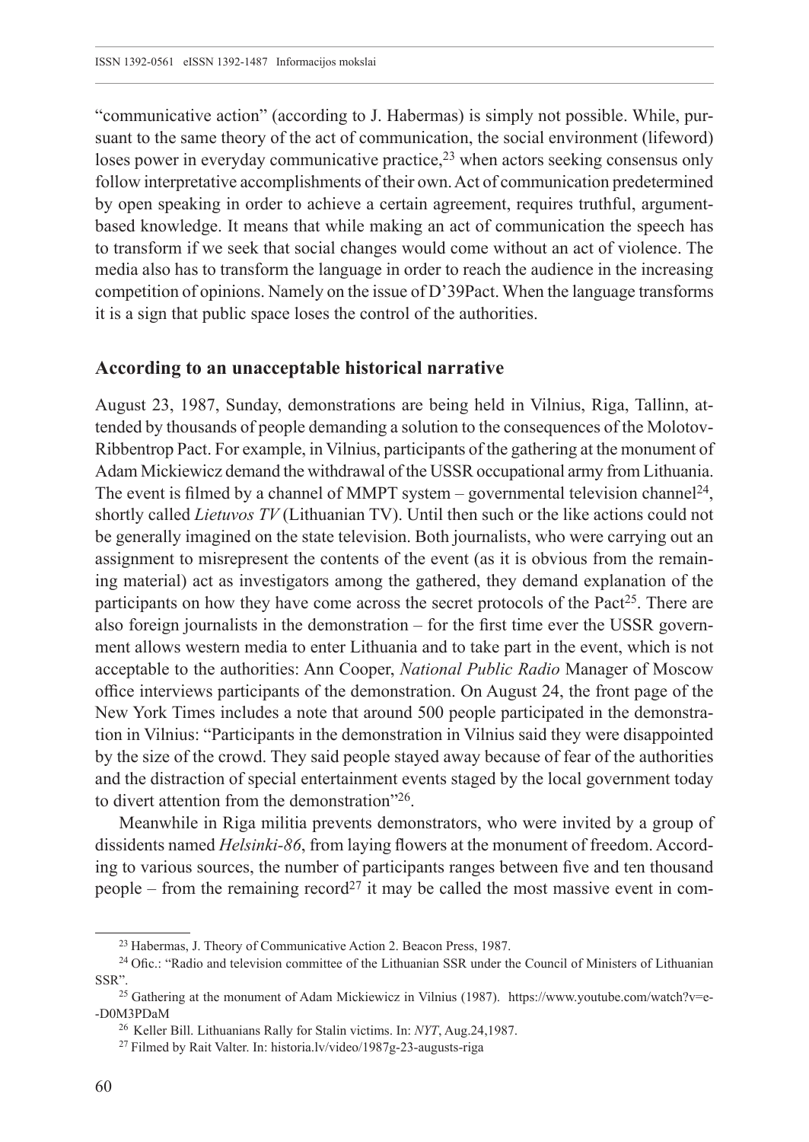"communicative action" (according to J. Habermas) is simply not possible. While, pursuant to the same theory of the act of communication, the social environment (lifeword) loses power in everyday communicative practice, $2<sup>3</sup>$  when actors seeking consensus only follow interpretative accomplishments of their own. Act of communication predetermined by open speaking in order to achieve a certain agreement, requires truthful, argumentbased knowledge. It means that while making an act of communication the speech has to transform if we seek that social changes would come without an act of violence. The media also has to transform the language in order to reach the audience in the increasing competition of opinions. Namely on the issue of D'39Pact. When the language transforms it is a sign that public space loses the control of the authorities.

#### **According to an unacceptable historical narrative**

August 23, 1987, Sunday, demonstrations are being held in Vilnius, Riga, Tallinn, attended by thousands of people demanding a solution to the consequences of the Molotov-Ribbentrop Pact. For example, in Vilnius, participants of the gathering at the monument of Adam Mickiewicz demand the withdrawal of the USSR occupational army from Lithuania. The event is filmed by a channel of MMPT system – governmental television channel<sup>24</sup>, shortly called *Lietuvos TV* (Lithuanian TV). Until then such or the like actions could not be generally imagined on the state television. Both journalists, who were carrying out an assignment to misrepresent the contents of the event (as it is obvious from the remaining material) act as investigators among the gathered, they demand explanation of the participants on how they have come across the secret protocols of the Pact<sup>25</sup>. There are also foreign journalists in the demonstration – for the first time ever the USSR government allows western media to enter Lithuania and to take part in the event, which is not acceptable to the authorities: Ann Cooper, *National Public Radio* Manager of Moscow office interviews participants of the demonstration. On August 24, the front page of the New York Times includes a note that around 500 people participated in the demonstration in Vilnius: "Participants in the demonstration in Vilnius said they were disappointed by the size of the crowd. They said people stayed away because of fear of the authorities and the distraction of special entertainment events staged by the local government today to divert attention from the demonstration"26.

Meanwhile in Riga militia prevents demonstrators, who were invited by a group of dissidents named *Helsinki-86*, from laying flowers at the monument of freedom. According to various sources, the number of participants ranges between five and ten thousand people – from the remaining record<sup>27</sup> it may be called the most massive event in com-

<sup>23</sup> Habermas, J. Theory of Communicative Action 2. Beacon Press, 1987.

<sup>24</sup> Ofic.: "Radio and television committee of the Lithuanian SSR under the Council of Ministers of Lithuanian SSR".

<sup>25</sup> Gathering at the monument of Adam Mickiewicz in Vilnius (1987). [https://www.youtube.com/watch?v=e-](https://www.youtube.com/watch?v=e--D0M3PDaM) [-D0M3PDaM](https://www.youtube.com/watch?v=e--D0M3PDaM)

<sup>26</sup> Keller Bill. Lithuanians Rally for Stalin victims. In: *NYT*, Aug.24,1987.

<sup>27</sup> Filmed by Rait Valter. In: [historia.lv/video/](historia.lv/video)1987g-23-augusts-riga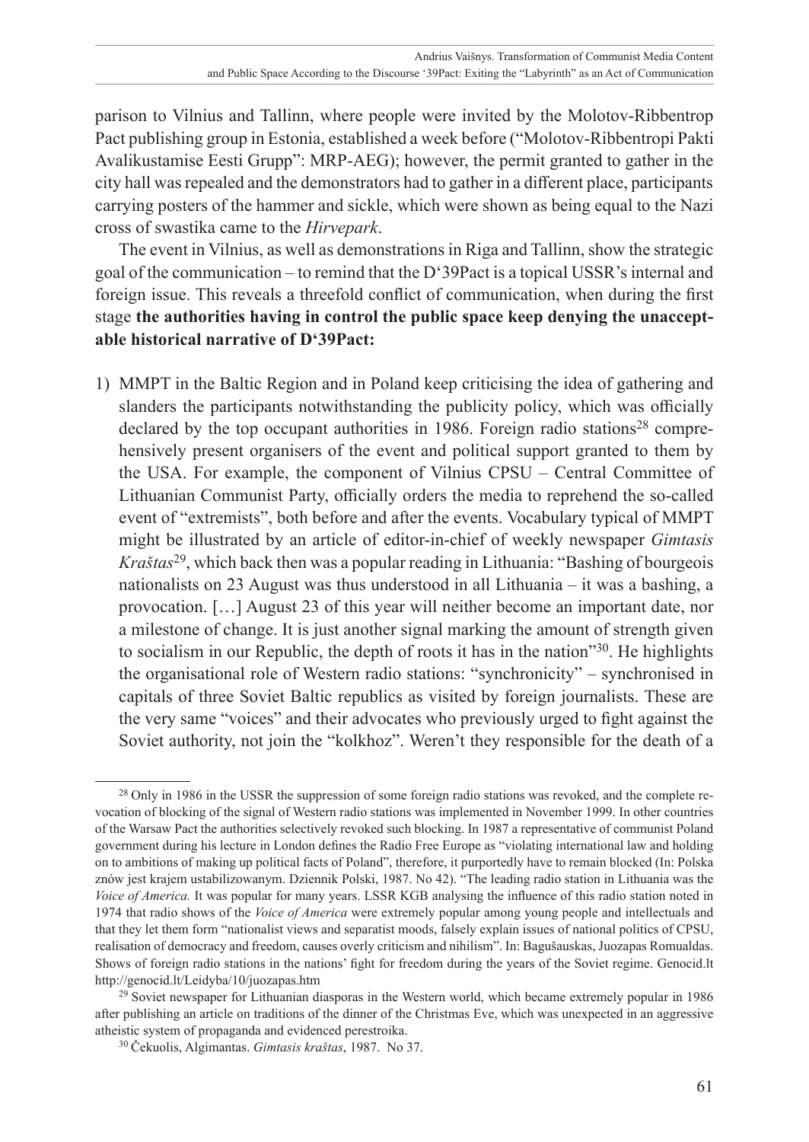parison to Vilnius and Tallinn, where people were invited by the Molotov-Ribbentrop Pact publishing group in Estonia, established a week before ("Molotov-Ribbentropi Pakti Avalikustamise Eesti Grupp": MRP-AEG); however, the permit granted to gather in the city hall was repealed and the demonstrators had to gather in a different place, participants carrying posters of the hammer and sickle, which were shown as being equal to the Nazi cross of swastika came to the *Hirvepark*.

The event in Vilnius, as well as demonstrations in Riga and Tallinn, show the strategic goal of the communication – to remind that the D'39Pact is a topical USSR's internal and foreign issue. This reveals a threefold conflict of communication, when during the first stage **the authorities having in control the public space keep denying the unacceptable historical narrative of D'39Pact:**

1) MMPT in the Baltic Region and in Poland keep criticising the idea of gathering and slanders the participants notwithstanding the publicity policy, which was officially declared by the top occupant authorities in 1986. Foreign radio stations<sup>28</sup> comprehensively present organisers of the event and political support granted to them by the USA. For example, the component of Vilnius CPSU – Central Committee of Lithuanian Communist Party, officially orders the media to reprehend the so-called event of "extremists", both before and after the events. Vocabulary typical of MMPT might be illustrated by an article of editor-in-chief of weekly newspaper *Gimtasis Kraštas*29, which back then was a popular reading in Lithuania: "Bashing of bourgeois nationalists on 23 August was thus understood in all Lithuania – it was a bashing, a provocation. […] August 23 of this year will neither become an important date, nor a milestone of change. It is just another signal marking the amount of strength given to socialism in our Republic, the depth of roots it has in the nation"30. He highlights the organisational role of Western radio stations: "synchronicity" – synchronised in capitals of three Soviet Baltic republics as visited by foreign journalists. These are the very same "voices" and their advocates who previously urged to fight against the Soviet authority, not join the "kolkhoz". Weren't they responsible for the death of a

<sup>&</sup>lt;sup>28</sup> Only in 1986 in the USSR the suppression of some foreign radio stations was revoked, and the complete revocation of blocking of the signal of Western radio stations was implemented in November 1999. In other countries of the Warsaw Pact the authorities selectively revoked such blocking. In 1987 a representative of communist Poland government during his lecture in London defines the Radio Free Europe as "violating international law and holding on to ambitions of making up political facts of Poland", therefore, it purportedly have to remain blocked (In: Polska znów jest krajem ustabilizowanym. Dziennik Polski, 1987. No 42). "The leading radio station in Lithuania was the *Voice of America.* It was popular for many years. LSSR KGB analysing the influence of this radio station noted in 1974 that radio shows of the *Voice of America* were extremely popular among young people and intellectuals and that they let them form "nationalist views and separatist moods, falsely explain issues of national politics of CPSU, realisation of democracy and freedom, causes overly criticism and nihilism". In: Bagušauskas, Juozapas Romualdas. Shows of foreign radio stations in the nations' fight for freedom during the years of the Soviet regime. <Genocid.lt> <http://genocid.lt/Leidyba/10/juozapas.htm>

<sup>29</sup> Soviet newspaper for Lithuanian diasporas in the Western world, which became extremely popular in 1986 after publishing an article on traditions of the dinner of the Christmas Eve, which was unexpected in an aggressive atheistic system of propaganda and evidenced perestroika.

<sup>30</sup> Čekuolis, Algimantas. *Gimtasis kraštas*, 1987. No 37.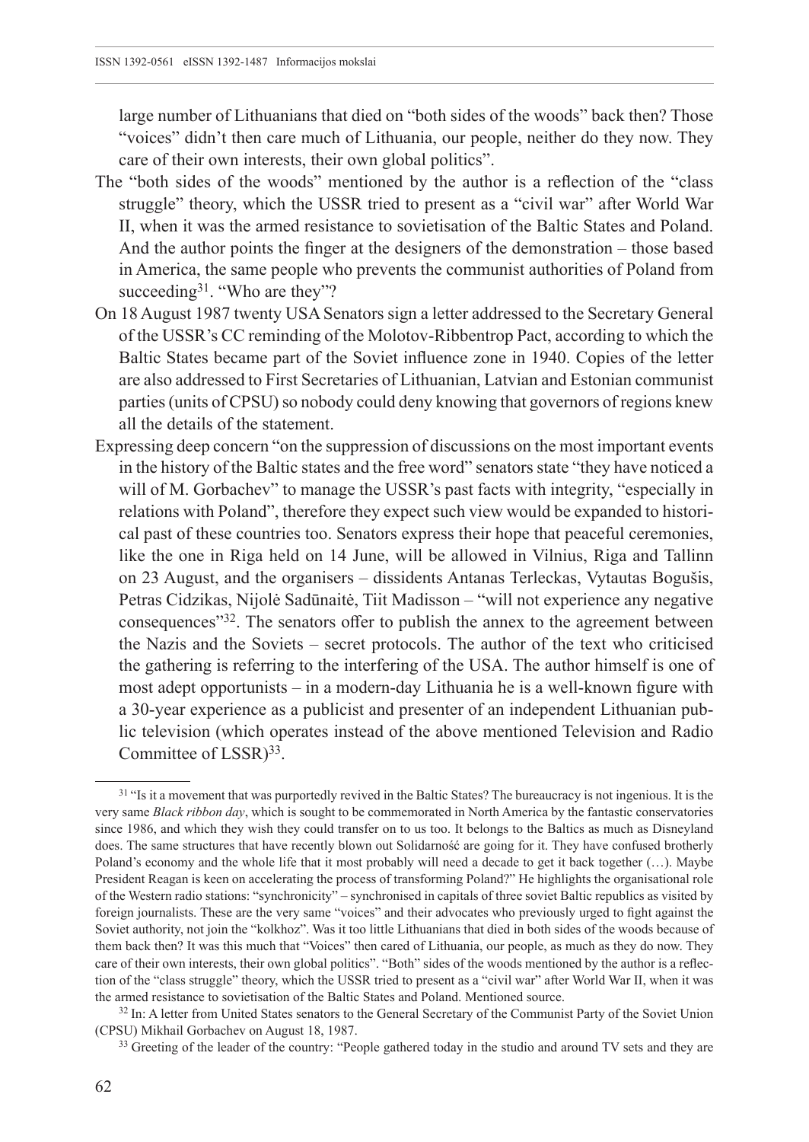large number of Lithuanians that died on "both sides of the woods" back then? Those "voices" didn't then care much of Lithuania, our people, neither do they now. They care of their own interests, their own global politics".

- The "both sides of the woods" mentioned by the author is a reflection of the "class struggle" theory, which the USSR tried to present as a "civil war" after World War II, when it was the armed resistance to sovietisation of the Baltic States and Poland. And the author points the finger at the designers of the demonstration – those based in America, the same people who prevents the communist authorities of Poland from succeeding<sup>31</sup>. "Who are they"?
- On 18 August 1987 twenty USA Senators sign a letter addressed to the Secretary General of the USSR's CC reminding of the Molotov-Ribbentrop Pact, according to which the Baltic States became part of the Soviet influence zone in 1940. Copies of the letter are also addressed to First Secretaries of Lithuanian, Latvian and Estonian communist parties (units of CPSU) so nobody could deny knowing that governors of regions knew all the details of the statement.
- Expressing deep concern "on the suppression of discussions on the most important events in the history of the Baltic states and the free word" senators state "they have noticed a will of M. Gorbachev" to manage the USSR's past facts with integrity, "especially in relations with Poland", therefore they expect such view would be expanded to historical past of these countries too. Senators express their hope that peaceful ceremonies, like the one in Riga held on 14 June, will be allowed in Vilnius, Riga and Tallinn on 23 August, and the organisers – dissidents Antanas Terleckas, Vytautas Bogušis, Petras Cidzikas, Nijolė Sadūnaitė, Tiit Madisson – "will not experience any negative consequences"32. The senators offer to publish the annex to the agreement between the Nazis and the Soviets – secret protocols. The author of the text who criticised the gathering is referring to the interfering of the USA. The author himself is one of most adept opportunists – in a modern-day Lithuania he is a well-known figure with a 30-year experience as a publicist and presenter of an independent Lithuanian public television (which operates instead of the above mentioned Television and Radio Committee of LSSR)<sup>33</sup>.

<sup>&</sup>lt;sup>31</sup> "Is it a movement that was purportedly revived in the Baltic States? The bureaucracy is not ingenious. It is the very same *Black ribbon day*, which is sought to be commemorated in North America by the fantastic conservatories since 1986, and which they wish they could transfer on to us too. It belongs to the Baltics as much as Disneyland does. The same structures that have recently blown out Solidarność are going for it. They have confused brotherly Poland's economy and the whole life that it most probably will need a decade to get it back together (…). Maybe President Reagan is keen on accelerating the process of transforming Poland?" He highlights the organisational role of the Western radio stations: "synchronicity" – synchronised in capitals of three soviet Baltic republics as visited by foreign journalists. These are the very same "voices" and their advocates who previously urged to fight against the Soviet authority, not join the "kolkhoz". Was it too little Lithuanians that died in both sides of the woods because of them back then? It was this much that "Voices" then cared of Lithuania, our people, as much as they do now. They care of their own interests, their own global politics". "Both" sides of the woods mentioned by the author is a reflection of the "class struggle" theory, which the USSR tried to present as a "civil war" after World War II, when it was the armed resistance to sovietisation of the Baltic States and Poland. Mentioned source.

<sup>&</sup>lt;sup>32</sup> In: A letter from United States senators to the General Secretary of the Communist Party of the Soviet Union (CPSU) Mikhail Gorbachev on August 18, 1987.

<sup>&</sup>lt;sup>33</sup> Greeting of the leader of the country: "People gathered today in the studio and around TV sets and they are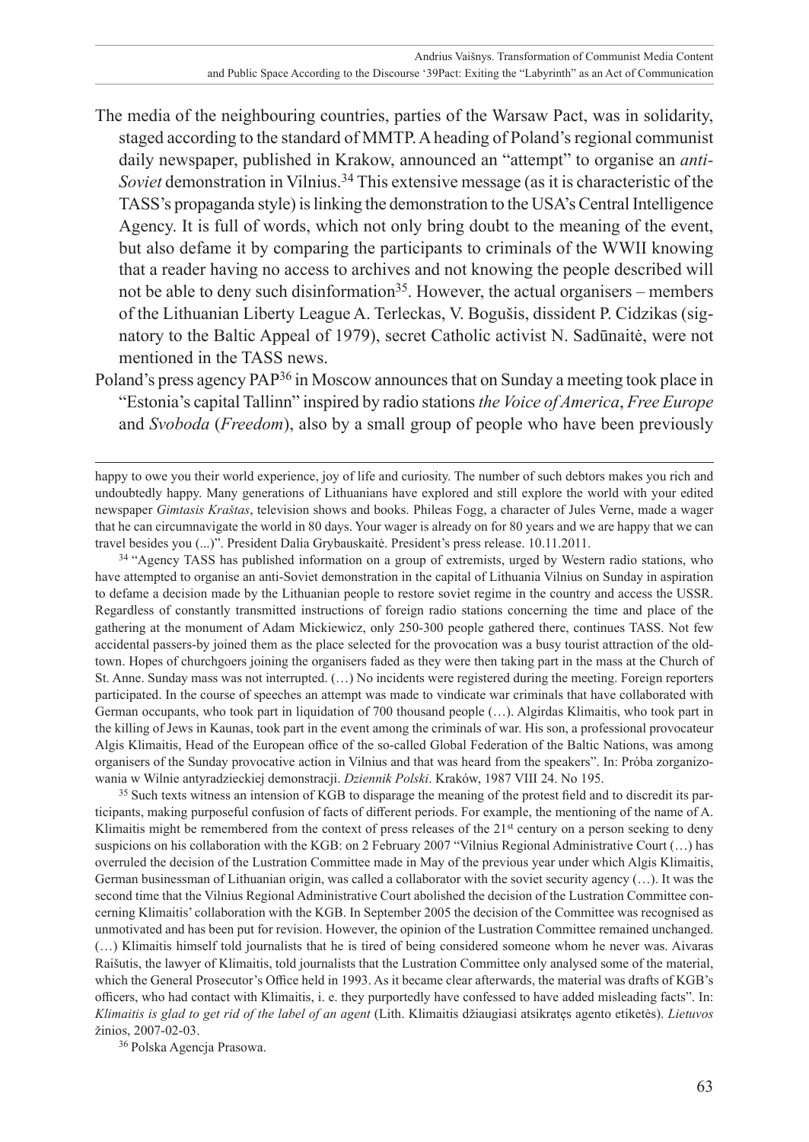- The media of the neighbouring countries, parties of the Warsaw Pact, was in solidarity, staged according to the standard of MMTP. A heading of Poland's regional communist daily newspaper, published in Krakow, announced an "attempt" to organise an *anti-Soviet* demonstration in Vilnius.34 This extensive message (as it is characteristic of the TASS's propaganda style) is linking the demonstration to the USA's Central Intelligence Agency. It is full of words, which not only bring doubt to the meaning of the event, but also defame it by comparing the participants to criminals of the WWII knowing that a reader having no access to archives and not knowing the people described will not be able to deny such disinformation<sup>35</sup>. However, the actual organisers – members of the Lithuanian Liberty League A. Terleckas, V. Bogušis, dissident P. Cidzikas (signatory to the Baltic Appeal of 1979), secret Catholic activist N. Sadūnaitė, were not mentioned in the TASS news.
- Poland's press agency PAP36 in Moscow announces that on Sunday a meeting took place in "Estonia's capital Tallinn" inspired by radio stations *the Voice of America*, *Free Europe* and *Svoboda* (*Freedom*), also by a small group of people who have been previously

happy to owe you their world experience, joy of life and curiosity. The number of such debtors makes you rich and undoubtedly happy. Many generations of Lithuanians have explored and still explore the world with your edited newspaper *Gimtasis Kraštas*, television shows and books. Phileas Fogg, a character of Jules Verne, made a wager that he can circumnavigate the world in 80 days. Your wager is already on for 80 years and we are happy that we can travel besides you (...)". President Dalia Grybauskaitė. President's press release. 10.11.2011.

<sup>34</sup> "Agency TASS has published information on a group of extremists, urged by Western radio stations, who have attempted to organise an anti-Soviet demonstration in the capital of Lithuania Vilnius on Sunday in aspiration to defame a decision made by the Lithuanian people to restore soviet regime in the country and access the USSR. Regardless of constantly transmitted instructions of foreign radio stations concerning the time and place of the gathering at the monument of Adam Mickiewicz, only 250-300 people gathered there, continues TASS. Not few accidental passers-by joined them as the place selected for the provocation was a busy tourist attraction of the oldtown. Hopes of churchgoers joining the organisers faded as they were then taking part in the mass at the Church of St. Anne. Sunday mass was not interrupted. (…) No incidents were registered during the meeting. Foreign reporters participated. In the course of speeches an attempt was made to vindicate war criminals that have collaborated with German occupants, who took part in liquidation of 700 thousand people (…). Algirdas Klimaitis, who took part in the killing of Jews in Kaunas, took part in the event among the criminals of war. His son, a professional provocateur Algis Klimaitis, Head of the European office of the so-called Global Federation of the Baltic Nations, was among organisers of the Sunday provocative action in Vilnius and that was heard from the speakers". In: Próba zorganizowania w Wilnie antyradzieckiej demonstracji. *Dziennik Polski*. Kraków, 1987 VIII 24. No 195.

<sup>35</sup> Such texts witness an intension of KGB to disparage the meaning of the protest field and to discredit its participants, making purposeful confusion of facts of different periods. For example, the mentioning of the name of A. Klimaitis might be remembered from the context of press releases of the 21<sup>st</sup> century on a person seeking to deny suspicions on his collaboration with the KGB: on 2 February 2007 "Vilnius Regional Administrative Court (...) has overruled the decision of the Lustration Committee made in May of the previous year under which Algis Klimaitis, German businessman of Lithuanian origin, was called a collaborator with the soviet security agency (…). It was the second time that the Vilnius Regional Administrative Court abolished the decision of the Lustration Committee concerning Klimaitis' collaboration with the KGB. In September 2005 the decision of the Committee was recognised as unmotivated and has been put for revision. However, the opinion of the Lustration Committee remained unchanged. (…) Klimaitis himself told journalists that he is tired of being considered someone whom he never was. Aivaras Raišutis, the lawyer of Klimaitis, told journalists that the Lustration Committee only analysed some of the material, which the General Prosecutor's Office held in 1993. As it became clear afterwards, the material was drafts of KGB's officers, who had contact with Klimaitis, i. e. they purportedly have confessed to have added misleading facts". In: *Klimaitis is glad to get rid of the label of an agent* (Lith. Klimaitis džiaugiasi atsikratęs agento etiketės). *Lietuvos*  žinios, 2007-02-03.

<sup>36</sup> Polska Agencja Prasowa.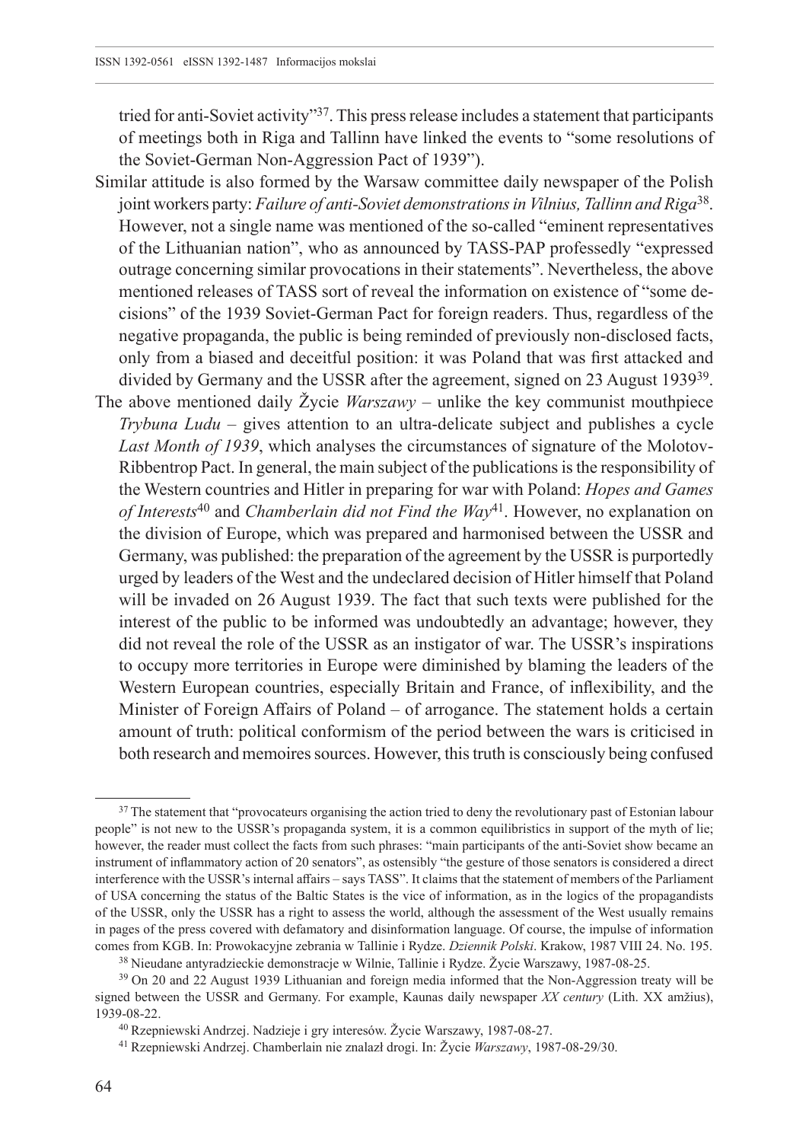tried for anti-Soviet activity"37. This press release includes a statement that participants of meetings both in Riga and Tallinn have linked the events to "some resolutions of the Soviet-German Non-Aggression Pact of 1939").

- Similar attitude is also formed by the Warsaw committee daily newspaper of the Polish joint workers party: *Failure of anti-Soviet demonstrations in Vilnius, Tallinn and Riga*38. However, not a single name was mentioned of the so-called "eminent representatives of the Lithuanian nation", who as announced by TASS-PAP professedly "expressed outrage concerning similar provocations in their statements". Nevertheless, the above mentioned releases of TASS sort of reveal the information on existence of "some decisions" of the 1939 Soviet-German Pact for foreign readers. Thus, regardless of the negative propaganda, the public is being reminded of previously non-disclosed facts, only from a biased and deceitful position: it was Poland that was first attacked and divided by Germany and the USSR after the agreement, signed on 23 August 193939.
- The above mentioned daily  $\check{Z}$ ycie *Warszawy* unlike the key communist mouthpiece *Trybuna Ludu* – gives attention to an ultra-delicate subject and publishes a cycle *Last Month of 1939*, which analyses the circumstances of signature of the Molotov-Ribbentrop Pact. In general, the main subject of the publications is the responsibility of the Western countries and Hitler in preparing for war with Poland: *Hopes and Games of Interests*40 and *Chamberlain did not Find the Way*41. However, no explanation on the division of Europe, which was prepared and harmonised between the USSR and Germany, was published: the preparation of the agreement by the USSR is purportedly urged by leaders of the West and the undeclared decision of Hitler himself that Poland will be invaded on 26 August 1939. The fact that such texts were published for the interest of the public to be informed was undoubtedly an advantage; however, they did not reveal the role of the USSR as an instigator of war. The USSR's inspirations to occupy more territories in Europe were diminished by blaming the leaders of the Western European countries, especially Britain and France, of inflexibility, and the Minister of Foreign Affairs of Poland – of arrogance. The statement holds a certain amount of truth: political conformism of the period between the wars is criticised in both research and memoires sources. However, this truth is consciously being confused

<sup>&</sup>lt;sup>37</sup> The statement that "provocateurs organising the action tried to deny the revolutionary past of Estonian labour people" is not new to the USSR's propaganda system, it is a common equilibristics in support of the myth of lie; however, the reader must collect the facts from such phrases: "main participants of the anti-Soviet show became an instrument of inflammatory action of 20 senators", as ostensibly "the gesture of those senators is considered a direct interference with the USSR's internal affairs – says TASS". It claims that the statement of members of the Parliament of USA concerning the status of the Baltic States is the vice of information, as in the logics of the propagandists of the USSR, only the USSR has a right to assess the world, although the assessment of the West usually remains in pages of the press covered with defamatory and disinformation language. Of course, the impulse of information comes from KGB. In: Prowokacyjne zebrania w Tallinie i Rydze. *Dziennik Polski*. Krakow, 1987 VIII 24. No. 195.

<sup>38</sup> Nieudane antyradzieckie demonstracje w Wilnie, Tallinie i Rydze. Žycie Warszawy, 1987-08-25.

<sup>&</sup>lt;sup>39</sup> On 20 and 22 August 1939 Lithuanian and foreign media informed that the Non-Aggression treaty will be signed between the USSR and Germany. For example, Kaunas daily newspaper *XX century* (Lith. XX amžius), 1939-08-22.

<sup>40</sup> Rzepniewski Andrzej. Nadzieje i gry interesów. Žycie Warszawy, 1987-08-27.

<sup>41</sup> Rzepniewski Andrzej. Chamberlain nie znalazł drogi. In: Žycie *Warszawy*, 1987-08-29/30.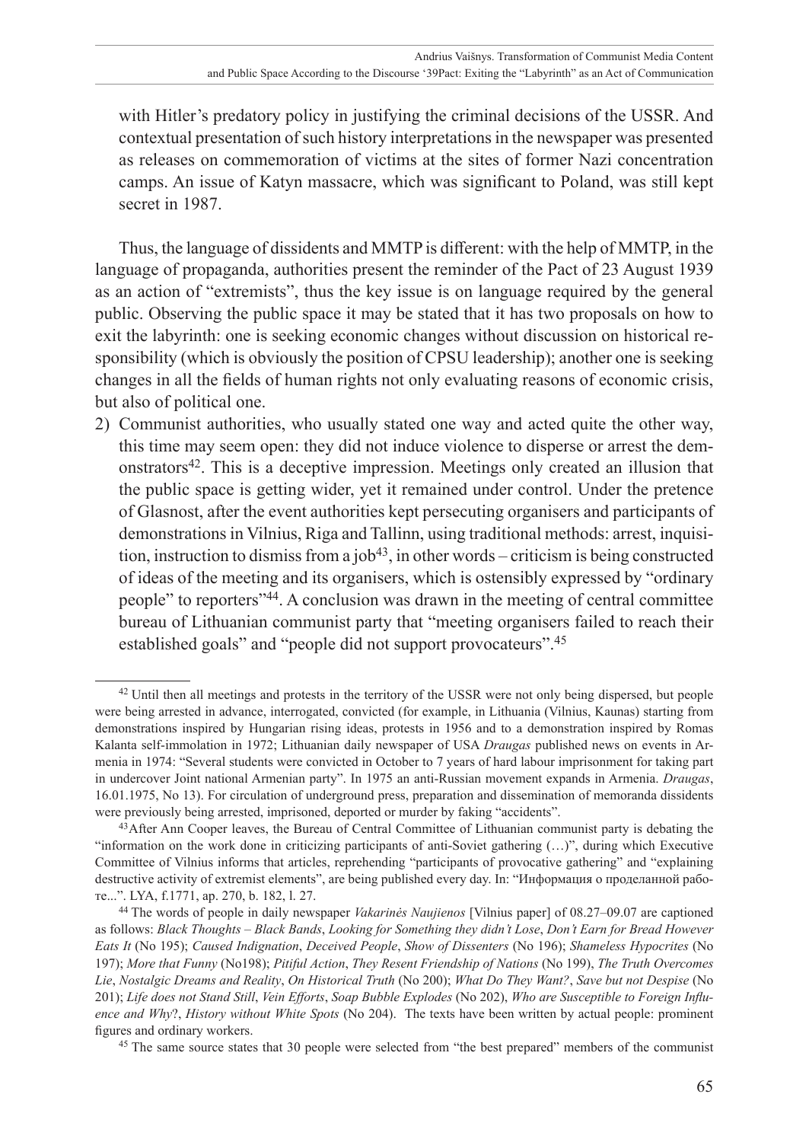with Hitler's predatory policy in justifying the criminal decisions of the USSR. And contextual presentation of such history interpretations in the newspaper was presented as releases on commemoration of victims at the sites of former Nazi concentration camps. An issue of Katyn massacre, which was significant to Poland, was still kept secret in 1987.

Thus, the language of dissidents and MMTP is different: with the help of MMTP, in the language of propaganda, authorities present the reminder of the Pact of 23 August 1939 as an action of "extremists", thus the key issue is on language required by the general public. Observing the public space it may be stated that it has two proposals on how to exit the labyrinth: one is seeking economic changes without discussion on historical responsibility (which is obviously the position of CPSU leadership); another one is seeking changes in all the fields of human rights not only evaluating reasons of economic crisis, but also of political one.

2) Communist authorities, who usually stated one way and acted quite the other way, this time may seem open: they did not induce violence to disperse or arrest the demonstrators42. This is a deceptive impression. Meetings only created an illusion that the public space is getting wider, yet it remained under control. Under the pretence of Glasnost, after the event authorities kept persecuting organisers and participants of demonstrations in Vilnius, Riga and Tallinn, using traditional methods: arrest, inquisition, instruction to dismiss from a job<sup>43</sup>, in other words – criticism is being constructed of ideas of the meeting and its organisers, which is ostensibly expressed by "ordinary people" to reporters"44. A conclusion was drawn in the meeting of central committee bureau of Lithuanian communist party that "meeting organisers failed to reach their established goals" and "people did not support provocateurs".<sup>45</sup>

<sup>45</sup> The same source states that 30 people were selected from "the best prepared" members of the communist

<sup>42</sup> Until then all meetings and protests in the territory of the USSR were not only being dispersed, but people were being arrested in advance, interrogated, convicted (for example, in Lithuania (Vilnius, Kaunas) starting from demonstrations inspired by Hungarian rising ideas, protests in 1956 and to a demonstration inspired by Romas Kalanta self-immolation in 1972; Lithuanian daily newspaper of USA *Draugas* published news on events in Armenia in 1974: "Several students were convicted in October to 7 years of hard labour imprisonment for taking part in undercover Joint national Armenian party". In 1975 an anti-Russian movement expands in Armenia. *Draugas*, 16.01.1975, No 13). For circulation of underground press, preparation and dissemination of memoranda dissidents were previously being arrested, imprisoned, deported or murder by faking "accidents".

<sup>43</sup>After Ann Cooper leaves, the Bureau of Central Committee of Lithuanian communist party is debating the "information on the work done in criticizing participants of anti-Soviet gathering (…)", during which Executive Committee of Vilnius informs that articles, reprehending "participants of provocative gathering" and "explaining destructive activity of extremist elements", are being published every day. In: "Информация о проделанной работе...". LYA, f.1771, ap. 270, b. 182, l. 27.

<sup>44</sup> The words of people in daily newspaper *Vakarinės Naujienos* [Vilnius paper] of 08.27–09.07 are captioned as follows: *Black Thoughts – Black Bands*, *Looking for Something they didn't Lose*, *Don't Earn for Bread However Eats It* (No 195); *Caused Indignation*, *Deceived People*, *Show of Dissenters* (No 196); *Shameless Hypocrites* (No 197); *More that Funny* (No198); *Pitiful Action*, *They Resent Friendship of Nations* (No 199), *The Truth Overcomes Lie*, *Nostalgic Dreams and Reality*, *On Historical Truth* (No 200); *What Do They Want?*, *Save but not Despise* (No 201); *Life does not Stand Still*, *Vein Efforts*, *Soap Bubble Explodes* (No 202), *Who are Susceptible to Foreign Influence and Why*?, *History without White Spots* (No 204). The texts have been written by actual people: prominent figures and ordinary workers.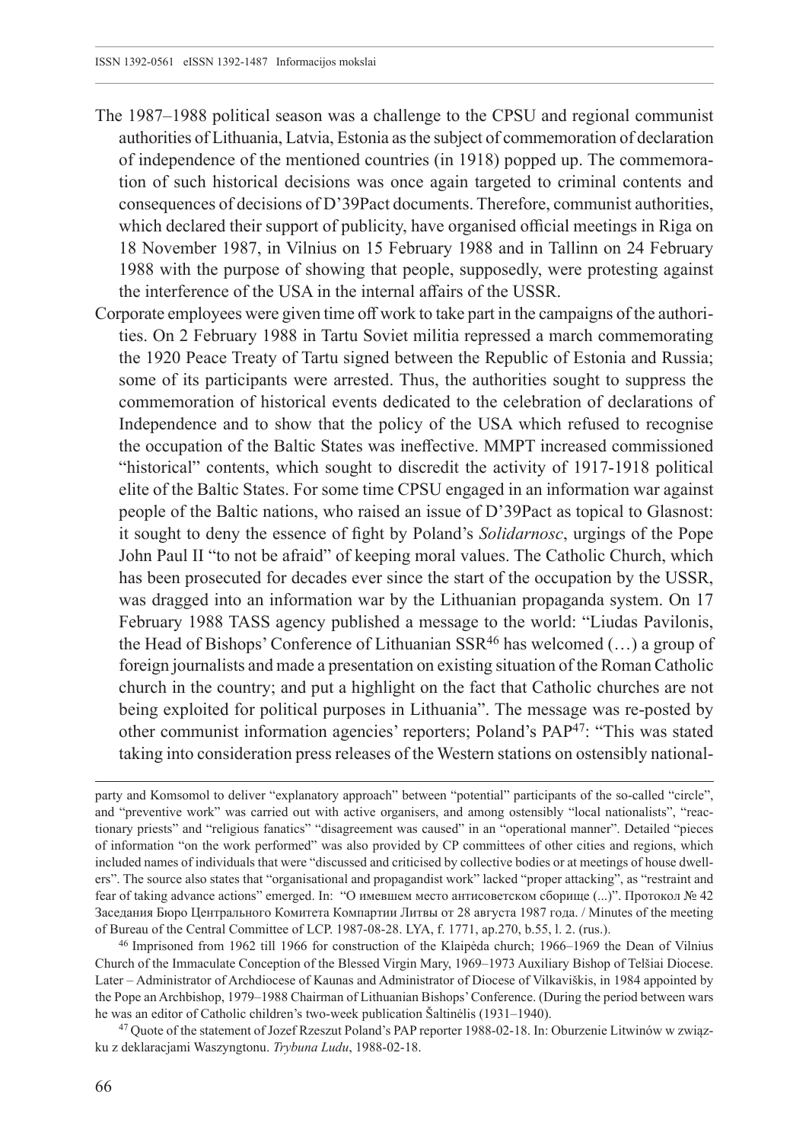- The 1987–1988 political season was a challenge to the CPSU and regional communist authorities of Lithuania, Latvia, Estonia as the subject of commemoration of declaration of independence of the mentioned countries (in 1918) popped up. The commemoration of such historical decisions was once again targeted to criminal contents and consequences of decisions of D'39Pact documents. Therefore, communist authorities, which declared their support of publicity, have organised official meetings in Riga on 18 November 1987, in Vilnius on 15 February 1988 and in Tallinn on 24 February 1988 with the purpose of showing that people, supposedly, were protesting against the interference of the USA in the internal affairs of the USSR.
- Corporate employees were given time off work to take part in the campaigns of the authorities. On 2 February 1988 in Tartu Soviet militia repressed a march commemorating the 1920 Peace Treaty of Tartu signed between the Republic of Estonia and Russia; some of its participants were arrested. Thus, the authorities sought to suppress the commemoration of historical events dedicated to the celebration of declarations of Independence and to show that the policy of the USA which refused to recognise the occupation of the Baltic States was ineffective. MMPT increased commissioned "historical" contents, which sought to discredit the activity of 1917-1918 political elite of the Baltic States. For some time CPSU engaged in an information war against people of the Baltic nations, who raised an issue of D'39Pact as topical to Glasnost: it sought to deny the essence of fight by Poland's *Solidarnosc*, urgings of the Pope John Paul II "to not be afraid" of keeping moral values. The Catholic Church, which has been prosecuted for decades ever since the start of the occupation by the USSR, was dragged into an information war by the Lithuanian propaganda system. On 17 February 1988 TASS agency published a message to the world: "Liudas Pavilonis, the Head of Bishops' Conference of Lithuanian  $SSR^{46}$  has welcomed  $(...)$  a group of foreign journalists and made a presentation on existing situation of the Roman Catholic church in the country; and put a highlight on the fact that Catholic churches are not being exploited for political purposes in Lithuania". The message was re-posted by other communist information agencies' reporters; Poland's PAP47: "This was stated taking into consideration press releases of the Western stations on ostensibly national-

party and Komsomol to deliver "explanatory approach" between "potential" participants of the so-called "circle", and "preventive work" was carried out with active organisers, and among ostensibly "local nationalists", "reactionary priests" and "religious fanatics" "disagreement was caused" in an "operational manner". Detailed "pieces of information "on the work performed" was also provided by CP committees of other cities and regions, which included names of individuals that were "discussed and criticised by collective bodies or at meetings of house dwellers". The source also states that "organisational and propagandist work" lacked "proper attacking", as "restraint and fear of taking advance actions" emerged. In: "О имевшем место антисоветском сборище (...)". Протокол № 42 Заседания Бюро Центрального Комитета Компартии Литвы от 28 августа 1987 года. / Minutes of the meeting of Bureau of the Central Committee of LCP. 1987-08-28. LYA, f. 1771, ap.270, b.55, l. 2. (rus.).

<sup>46</sup> Imprisoned from 1962 till 1966 for construction of the Klaipėda church; 1966–1969 the Dean of Vilnius Church of the Immaculate Conception of the Blessed Virgin Mary, 1969–1973 Auxiliary Bishop of Telšiai Diocese. Later – Administrator of Archdiocese of Kaunas and Administrator of Diocese of Vilkaviškis, in 1984 appointed by the Pope an Archbishop, 1979–1988 Chairman of Lithuanian Bishops' Conference. (During the period between wars he was an editor of Catholic children's two-week publication Šaltinėlis (1931–1940).

<sup>47</sup> Quote of the statement of Jozef Rzeszut Poland's PAP reporter 1988-02-18. In: Oburzenie Litwinów w związku z deklaracjami Waszyngtonu. *Trybuna Ludu*, 1988-02-18.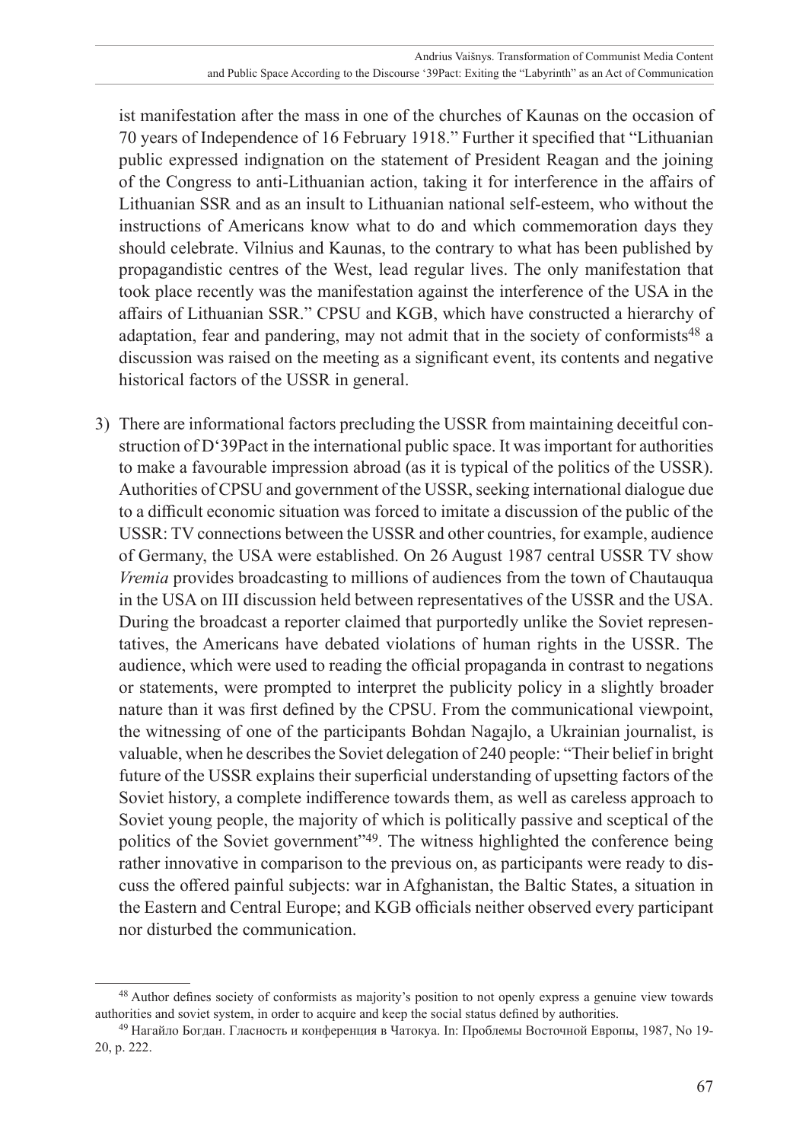ist manifestation after the mass in one of the churches of Kaunas on the occasion of 70 years of Independence of 16 February 1918." Further it specified that "Lithuanian public expressed indignation on the statement of President Reagan and the joining of the Congress to anti-Lithuanian action, taking it for interference in the affairs of Lithuanian SSR and as an insult to Lithuanian national self-esteem, who without the instructions of Americans know what to do and which commemoration days they should celebrate. Vilnius and Kaunas, to the contrary to what has been published by propagandistic centres of the West, lead regular lives. The only manifestation that took place recently was the manifestation against the interference of the USA in the affairs of Lithuanian SSR." CPSU and KGB, which have constructed a hierarchy of adaptation, fear and pandering, may not admit that in the society of conformists<sup>48</sup> a discussion was raised on the meeting as a significant event, its contents and negative historical factors of the USSR in general.

3) There are informational factors precluding the USSR from maintaining deceitful construction of D'39Pact in the international public space. It was important for authorities to make a favourable impression abroad (as it is typical of the politics of the USSR). Authorities of CPSU and government of the USSR, seeking international dialogue due to a difficult economic situation was forced to imitate a discussion of the public of the USSR: TV connections between the USSR and other countries, for example, audience of Germany, the USA were established. On 26 August 1987 central USSR TV show *Vremia* provides broadcasting to millions of audiences from the town of Chautauqua in the USA on III discussion held between representatives of the USSR and the USA. During the broadcast a reporter claimed that purportedly unlike the Soviet representatives, the Americans have debated violations of human rights in the USSR. The audience, which were used to reading the official propaganda in contrast to negations or statements, were prompted to interpret the publicity policy in a slightly broader nature than it was first defined by the CPSU. From the communicational viewpoint, the witnessing of one of the participants Bohdan Nagajlo, a Ukrainian journalist, is valuable, when he describes the Soviet delegation of 240 people: "Their belief in bright future of the USSR explains their superficial understanding of upsetting factors of the Soviet history, a complete indifference towards them, as well as careless approach to Soviet young people, the majority of which is politically passive and sceptical of the politics of the Soviet government"49. The witness highlighted the conference being rather innovative in comparison to the previous on, as participants were ready to discuss the offered painful subjects: war in Afghanistan, the Baltic States, a situation in the Eastern and Central Europe; and KGB officials neither observed every participant nor disturbed the communication.

<sup>48</sup> Author defines society of conformists as majority's position to not openly express a genuine view towards authorities and soviet system, in order to acquire and keep the social status defined by authorities.

<sup>49</sup> Нагайло Богдан. Гласность и конференция в Чатокуа. In: Проблемы Восточной Европы, 1987, No 19- 20, p. 222.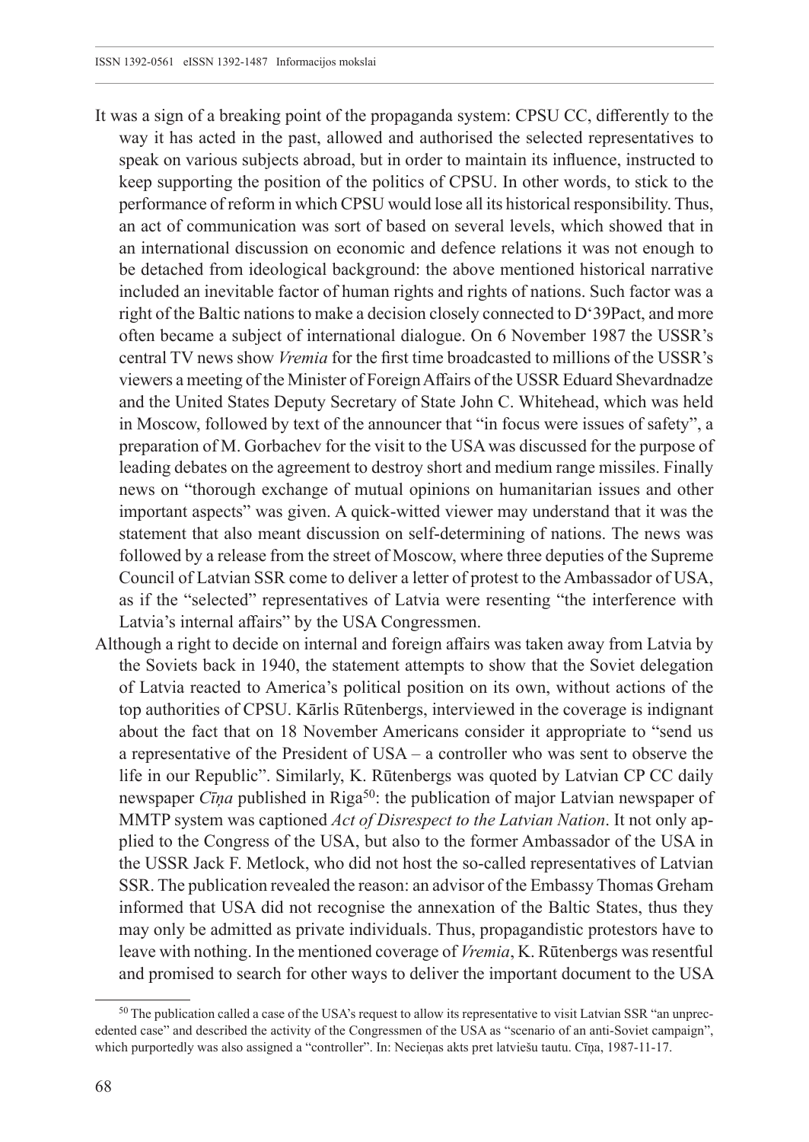- It was a sign of a breaking point of the propaganda system: CPSU CC, differently to the way it has acted in the past, allowed and authorised the selected representatives to speak on various subjects abroad, but in order to maintain its influence, instructed to keep supporting the position of the politics of CPSU. In other words, to stick to the performance of reform in which CPSU would lose all its historical responsibility. Thus, an act of communication was sort of based on several levels, which showed that in an international discussion on economic and defence relations it was not enough to be detached from ideological background: the above mentioned historical narrative included an inevitable factor of human rights and rights of nations. Such factor was a right of the Baltic nations to make a decision closely connected to D'39Pact, and more often became a subject of international dialogue. On 6 November 1987 the USSR's central TV news show *Vremia* for the first time broadcasted to millions of the USSR's viewers a meeting of the Minister of Foreign Affairs of the USSR Eduard Shevardnadze and the United States Deputy Secretary of State John C. Whitehead, which was held in Moscow, followed by text of the announcer that "in focus were issues of safety", a preparation of M. Gorbachev for the visit to the USA was discussed for the purpose of leading debates on the agreement to destroy short and medium range missiles. Finally news on "thorough exchange of mutual opinions on humanitarian issues and other important aspects" was given. A quick-witted viewer may understand that it was the statement that also meant discussion on self-determining of nations. The news was followed by a release from the street of Moscow, where three deputies of the Supreme Council of Latvian SSR come to deliver a letter of protest to the Ambassador of USA, as if the "selected" representatives of Latvia were resenting "the interference with Latvia's internal affairs" by the USA Congressmen.
- Although a right to decide on internal and foreign affairs was taken away from Latvia by the Soviets back in 1940, the statement attempts to show that the Soviet delegation of Latvia reacted to America's political position on its own, without actions of the top authorities of CPSU. Kārlis Rūtenbergs, interviewed in the coverage is indignant about the fact that on 18 November Americans consider it appropriate to "send us a representative of the President of USA – a controller who was sent to observe the life in our Republic". Similarly, K. Rūtenbergs was quoted by Latvian CP CC daily newspaper *Cīna* published in Riga<sup>50</sup>: the publication of major Latvian newspaper of MMTP system was captioned *Act of Disrespect to the Latvian Nation*. It not only applied to the Congress of the USA, but also to the former Ambassador of the USA in the USSR Jack F. Metlock, who did not host the so-called representatives of Latvian SSR. The publication revealed the reason: an advisor of the Embassy Thomas Greham informed that USA did not recognise the annexation of the Baltic States, thus they may only be admitted as private individuals. Thus, propagandistic protestors have to leave with nothing. In the mentioned coverage of *Vremia*, K. Rūtenbergs was resentful and promised to search for other ways to deliver the important document to the USA

<sup>50</sup> The publication called a case of the USA's request to allow its representative to visit Latvian SSR "an unprecedented case" and described the activity of the Congressmen of the USA as "scenario of an anti-Soviet campaign", which purportedly was also assigned a "controller". In: Necieņas akts pret latviešu tautu. Cīņa, 1987-11-17.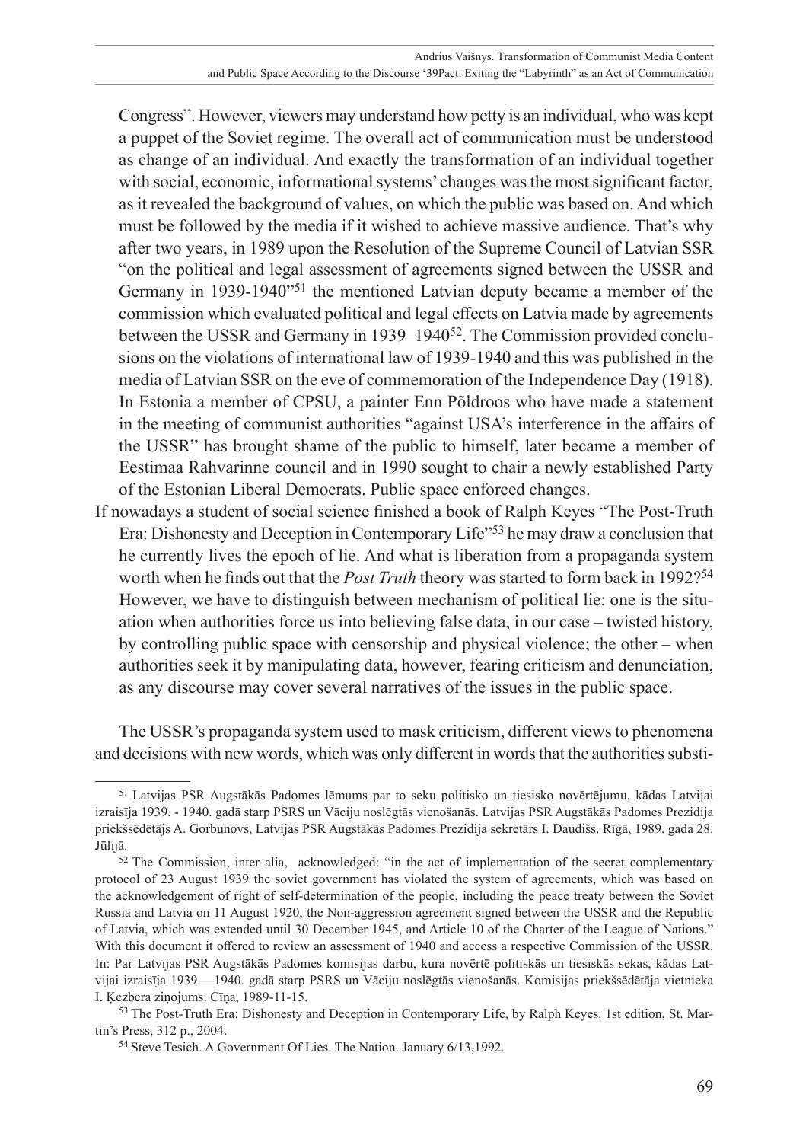Congress". However, viewers may understand how petty is an individual, who was kept a puppet of the Soviet regime. The overall act of communication must be understood as change of an individual. And exactly the transformation of an individual together with social, economic, informational systems' changes was the most significant factor, as it revealed the background of values, on which the public was based on. And which must be followed by the media if it wished to achieve massive audience. That's why after two years, in 1989 upon the Resolution of the Supreme Council of Latvian SSR "on the political and legal assessment of agreements signed between the USSR and Germany in 1939-1940"51 the mentioned Latvian deputy became a member of the commission which evaluated political and legal effects on Latvia made by agreements between the USSR and Germany in 1939–1940<sup>52</sup>. The Commission provided conclusions on the violations of international law of 1939-1940 and this was published in the media of Latvian SSR on the eve of commemoration of the Independence Day (1918). In Estonia a member of CPSU, a painter Enn Põldroos who have made a statement in the meeting of communist authorities "against USA's interference in the affairs of the USSR" has brought shame of the public to himself, later became a member of Eestimaa Rahvarinne council and in 1990 sought to chair a newly established Party of the Estonian Liberal Democrats. Public space enforced changes.

If nowadays a student of social science finished a book of Ralph Keyes "The Post-Truth Era: Dishonesty and Deception in Contemporary Life"53 he may draw a conclusion that he currently lives the epoch of lie. And what is liberation from a propaganda system worth when he finds out that the *Post Truth* theory was started to form back in 1992?<sup>54</sup> However, we have to distinguish between mechanism of political lie: one is the situation when authorities force us into believing false data, in our case – twisted history, by controlling public space with censorship and physical violence; the other – when authorities seek it by manipulating data, however, fearing criticism and denunciation, as any discourse may cover several narratives of the issues in the public space.

The USSR's propaganda system used to mask criticism, different views to phenomena and decisions with new words, which was only different in words that the authorities substi-

<sup>51</sup> Latvijas PSR Augstākās Padomes lēmums par to seku politisko un tiesisko novērtējumu, kādas Latvijai izraisīja 1939. - 1940. gadā starp PSRS un Vāciju noslēgtās vienošanās. Latvijas PSR Augstākās Padomes Prezidija priekšsēdētājs A. Gorbunovs, Latvijas PSR Augstākās Padomes Prezidija sekretārs I. Daudišs. Rīgā, 1989. gada 28. Jūlijā.

<sup>52</sup> The Commission, inter alia, acknowledged: "in the act of implementation of the secret complementary protocol of 23 August 1939 the soviet government has violated the system of agreements, which was based on the acknowledgement of right of self-determination of the people, including the peace treaty between the Soviet Russia and Latvia on 11 August 1920, the Non-aggression agreement signed between the USSR and the Republic of Latvia, which was extended until 30 December 1945, and Article 10 of the Charter of the League of Nations." With this document it offered to review an assessment of 1940 and access a respective Commission of the USSR. In: Par Latvijas PSR Augstākās Padomes komisijas darbu, kura novērtē politiskās un tiesiskās sekas, kādas Latvijai izraisīja 1939.—1940. gadā starp PSRS un Vāciju noslēgtās vienošanās. Komisijas priekšsēdētāja vietnieka I. Ķezbera ziņojums. Cīņa, 1989-11-15.

<sup>53</sup> The Post-Truth Era: Dishonesty and Deception in Contemporary Life, by Ralph Keyes. 1st edition, St. Martin's Press, 312 p., 2004.

<sup>54</sup> Steve Tesich. A Government Of Lies. The Nation. January 6/13,1992.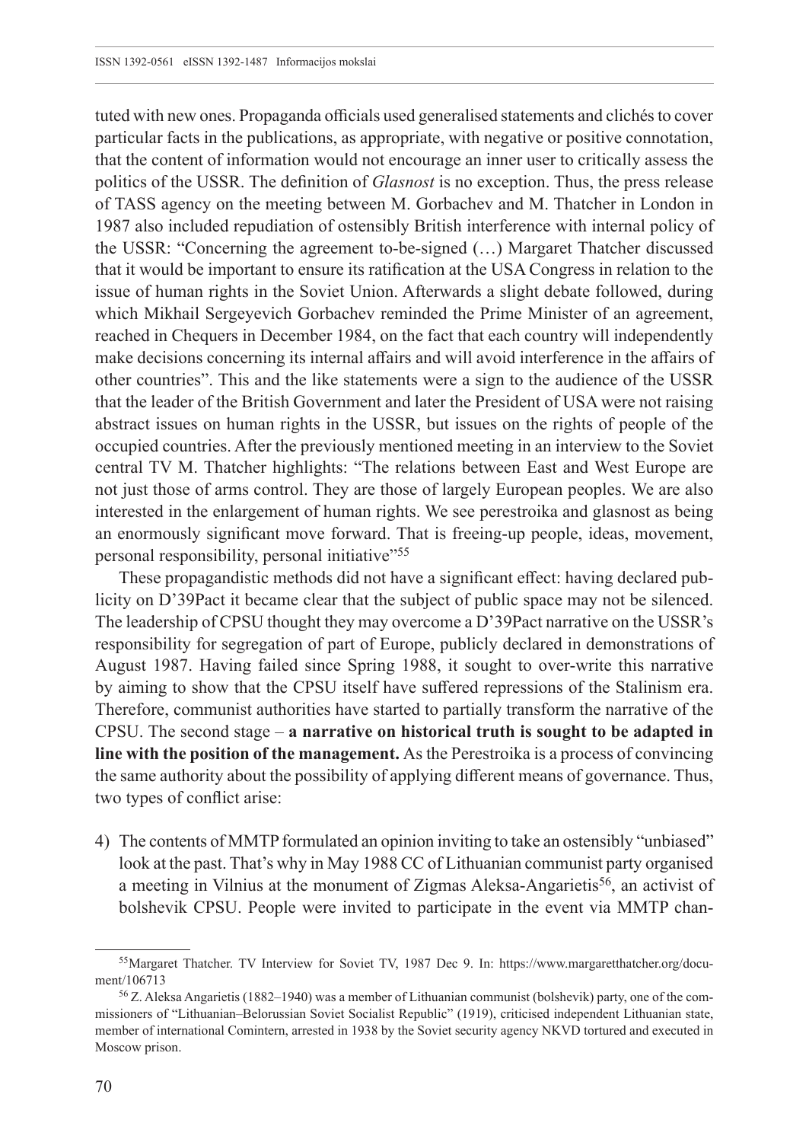tuted with new ones. Propaganda officials used generalised statements and clichés to cover particular facts in the publications, as appropriate, with negative or positive connotation, that the content of information would not encourage an inner user to critically assess the politics of the USSR. The definition of *Glasnost* is no exception. Thus, the press release of TASS agency on the meeting between M. Gorbachev and M. Thatcher in London in 1987 also included repudiation of ostensibly British interference with internal policy of the USSR: "Concerning the agreement to-be-signed (…) Margaret Thatcher discussed that it would be important to ensure its ratification at the USA Congress in relation to the issue of human rights in the Soviet Union. Afterwards a slight debate followed, during which Mikhail Sergeyevich Gorbachev reminded the Prime Minister of an agreement, reached in Chequers in December 1984, on the fact that each country will independently make decisions concerning its internal affairs and will avoid interference in the affairs of other countries". This and the like statements were a sign to the audience of the USSR that the leader of the British Government and later the President of USA were not raising abstract issues on human rights in the USSR, but issues on the rights of people of the occupied countries. After the previously mentioned meeting in an interview to the Soviet central TV M. Thatcher highlights: "The relations between East and West Europe are not just those of arms control. They are those of largely European peoples. We are also interested in the enlargement of human rights. We see perestroika and glasnost as being an enormously significant move forward. That is freeing-up people, ideas, movement, personal responsibility, personal initiative"<sup>55</sup>

These propagandistic methods did not have a significant effect: having declared publicity on D'39Pact it became clear that the subject of public space may not be silenced. The leadership of CPSU thought they may overcome a D'39Pact narrative on the USSR's responsibility for segregation of part of Europe, publicly declared in demonstrations of August 1987. Having failed since Spring 1988, it sought to over-write this narrative by aiming to show that the CPSU itself have suffered repressions of the Stalinism era. Therefore, communist authorities have started to partially transform the narrative of the CPSU. The second stage – **a narrative on historical truth is sought to be adapted in line with the position of the management.** As the Perestroika is a process of convincing the same authority about the possibility of applying different means of governance. Thus, two types of conflict arise:

4) The contents of MMTP formulated an opinion inviting to take an ostensibly "unbiased" look at the past. That's why in May 1988 CC of Lithuanian communist party organised a meeting in Vilnius at the monument of Zigmas Aleksa-Angarietis<sup>56</sup>, an activist of bolshevik CPSU. People were invited to participate in the event via MMTP chan-

<sup>55</sup>Margaret Thatcher. TV Interview for Soviet TV, 1987 Dec 9. In: [https://www.margaretthatcher.org/docu](https://www.margaretthatcher.org/document/106713)[ment/106713](https://www.margaretthatcher.org/document/106713)

<sup>56</sup> Z. Aleksa Angarietis (1882–1940) was a member of Lithuanian communist (bolshevik) party, one of the commissioners of "Lithuanian–Belorussian Soviet Socialist Republic" (1919), criticised independent Lithuanian state, member of international Comintern, arrested in 1938 by the Soviet security agency NKVD tortured and executed in Moscow prison.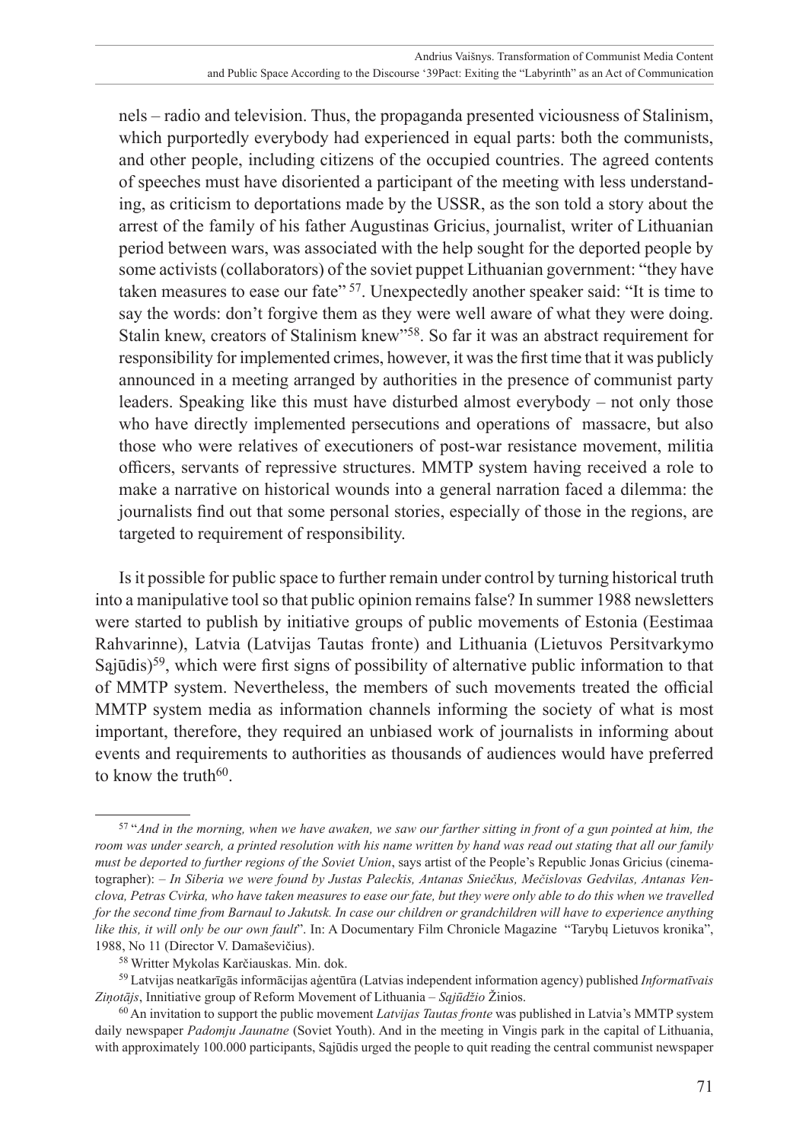nels – radio and television. Thus, the propaganda presented viciousness of Stalinism, which purportedly everybody had experienced in equal parts: both the communists, and other people, including citizens of the occupied countries. The agreed contents of speeches must have disoriented a participant of the meeting with less understanding, as criticism to deportations made by the USSR, as the son told a story about the arrest of the family of his father Augustinas Gricius, journalist, writer of Lithuanian period between wars, was associated with the help sought for the deported people by some activists (collaborators) of the soviet puppet Lithuanian government: "they have taken measures to ease our fate" <sup>57</sup>. Unexpectedly another speaker said: "It is time to say the words: don't forgive them as they were well aware of what they were doing. Stalin knew, creators of Stalinism knew"58. So far it was an abstract requirement for responsibility for implemented crimes, however, it was the first time that it was publicly announced in a meeting arranged by authorities in the presence of communist party leaders. Speaking like this must have disturbed almost everybody – not only those who have directly implemented persecutions and operations of massacre, but also those who were relatives of executioners of post-war resistance movement, militia officers, servants of repressive structures. MMTP system having received a role to make a narrative on historical wounds into a general narration faced a dilemma: the journalists find out that some personal stories, especially of those in the regions, are targeted to requirement of responsibility.

Is it possible for public space to further remain under control by turning historical truth into a manipulative tool so that public opinion remains false? In summer 1988 newsletters were started to publish by initiative groups of public movements of Estonia (Eestimaa Rahvarinne), Latvia (Latvijas Tautas fronte) and Lithuania (Lietuvos Persitvarkymo Sajūdis)<sup>59</sup>, which were first signs of possibility of alternative public information to that of MMTP system. Nevertheless, the members of such movements treated the official MMTP system media as information channels informing the society of what is most important, therefore, they required an unbiased work of journalists in informing about events and requirements to authorities as thousands of audiences would have preferred to know the truth $60$ .

<sup>57</sup> "*And in the morning, when we have awaken, we saw our farther sitting in front of a gun pointed at him, the room was under search, a printed resolution with his name written by hand was read out stating that all our family must be deported to further regions of the Soviet Union*, says artist of the People's Republic Jonas Gricius (cinematographer): *– In Siberia we were found by Justas Paleckis, Antanas Sniečkus, Mečislovas Gedvilas, Antanas Venclova, Petras Cvirka, who have taken measures to ease our fate, but they were only able to do this when we travelled for the second time from Barnaul to Jakutsk. In case our children or grandchildren will have to experience anything like this, it will only be our own fault*". In: A Documentary Film Chronicle Magazine "Tarybų Lietuvos kronika", 1988, No 11 (Director V. Damaševičius).

<sup>58</sup> Writter Mykolas Karčiauskas. Min. dok.

<sup>59</sup> Latvijas neatkarīgās informācijas aģentūra (Latvias independent information agency) published *Informatīvais Ziņotājs*, Innitiative group of Reform Movement of Lithuania – *Sąjūdžio* Žinios.

<sup>60</sup> An invitation to support the public movement *Latvijas Tautas fronte* was published in Latvia's MMTP system daily newspaper *Padomju Jaunatne* (Soviet Youth). And in the meeting in Vingis park in the capital of Lithuania, with approximately 100.000 participants, Sąjūdis urged the people to quit reading the central communist newspaper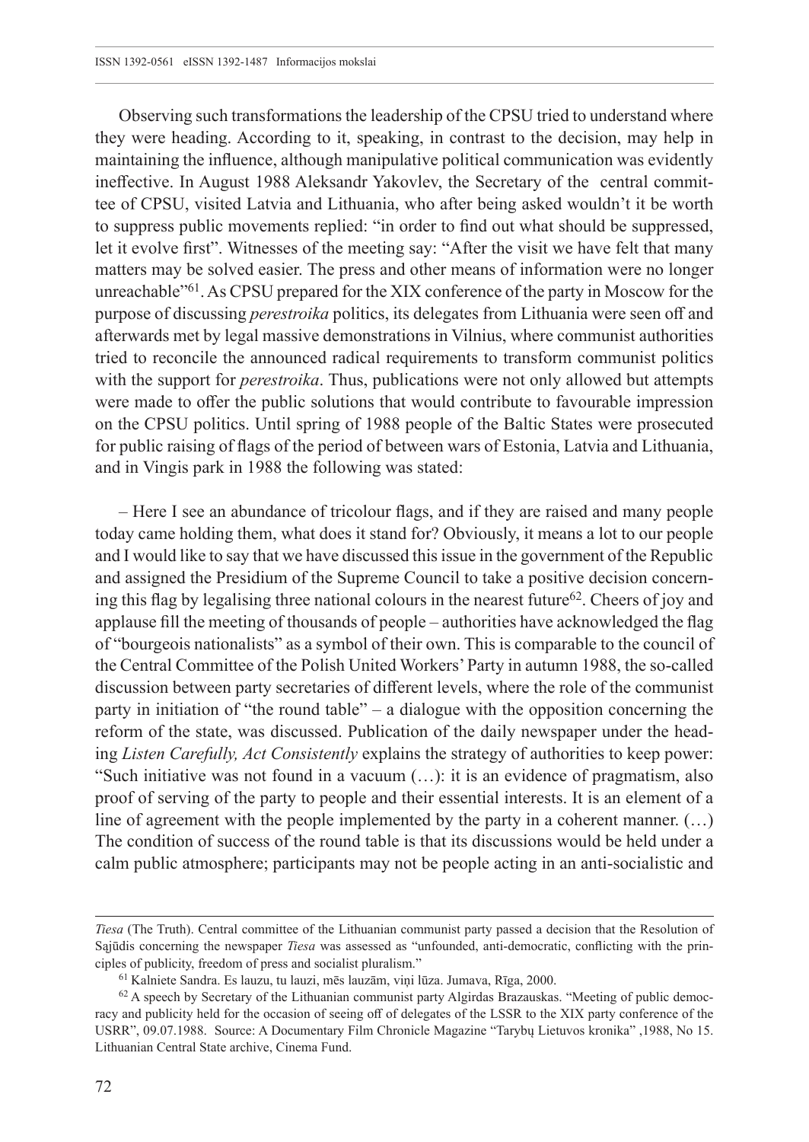Observing such transformations the leadership of the CPSU tried to understand where they were heading. According to it, speaking, in contrast to the decision, may help in maintaining the influence, although manipulative political communication was evidently ineffective. In August 1988 Aleksandr Yakovlev, the Secretary of the central committee of CPSU, visited Latvia and Lithuania, who after being asked wouldn't it be worth to suppress public movements replied: "in order to find out what should be suppressed, let it evolve first". Witnesses of the meeting say: "After the visit we have felt that many matters may be solved easier. The press and other means of information were no longer unreachable<sup>"61</sup>. As CPSU prepared for the XIX conference of the party in Moscow for the purpose of discussing *perestroika* politics, its delegates from Lithuania were seen off and afterwards met by legal massive demonstrations in Vilnius, where communist authorities tried to reconcile the announced radical requirements to transform communist politics with the support for *perestroika*. Thus, publications were not only allowed but attempts were made to offer the public solutions that would contribute to favourable impression on the CPSU politics. Until spring of 1988 people of the Baltic States were prosecuted for public raising of flags of the period of between wars of Estonia, Latvia and Lithuania, and in Vingis park in 1988 the following was stated:

– Here I see an abundance of tricolour flags, and if they are raised and many people today came holding them, what does it stand for? Obviously, it means a lot to our people and I would like to say that we have discussed this issue in the government of the Republic and assigned the Presidium of the Supreme Council to take a positive decision concerning this flag by legalising three national colours in the nearest future<sup>62</sup>. Cheers of joy and applause fill the meeting of thousands of people – authorities have acknowledged the flag of "bourgeois nationalists" as a symbol of their own. This is comparable to the council of the Central Committee of the Polish United Workers' Party in autumn 1988, the so-called discussion between party secretaries of different levels, where the role of the communist party in initiation of "the round table" – a dialogue with the opposition concerning the reform of the state, was discussed. Publication of the daily newspaper under the heading *Listen Carefully, Act Consistently* explains the strategy of authorities to keep power: "Such initiative was not found in a vacuum (…): it is an evidence of pragmatism, also proof of serving of the party to people and their essential interests. It is an element of a line of agreement with the people implemented by the party in a coherent manner. (…) The condition of success of the round table is that its discussions would be held under a calm public atmosphere; participants may not be people acting in an anti-socialistic and

*Tiesa* (The Truth). Central committee of the Lithuanian communist party passed a decision that the Resolution of Sąjūdis concerning the newspaper *Tiesa* was assessed as "unfounded, anti-democratic, conflicting with the principles of publicity, freedom of press and socialist pluralism."

<sup>61</sup> Kalniete Sandra. Es lauzu, tu lauzi, mēs lauzām, viņi lūza. Jumava, Rīga, 2000.

<sup>62</sup> A speech by Secretary of the Lithuanian communist party Algirdas Brazauskas. "Meeting of public democracy and publicity held for the occasion of seeing off of delegates of the LSSR to the XIX party conference of the USRR", 09.07.1988. Source: A Documentary Film Chronicle Magazine "Tarybų Lietuvos kronika" ,1988, No 15. Lithuanian Central State archive, Cinema Fund.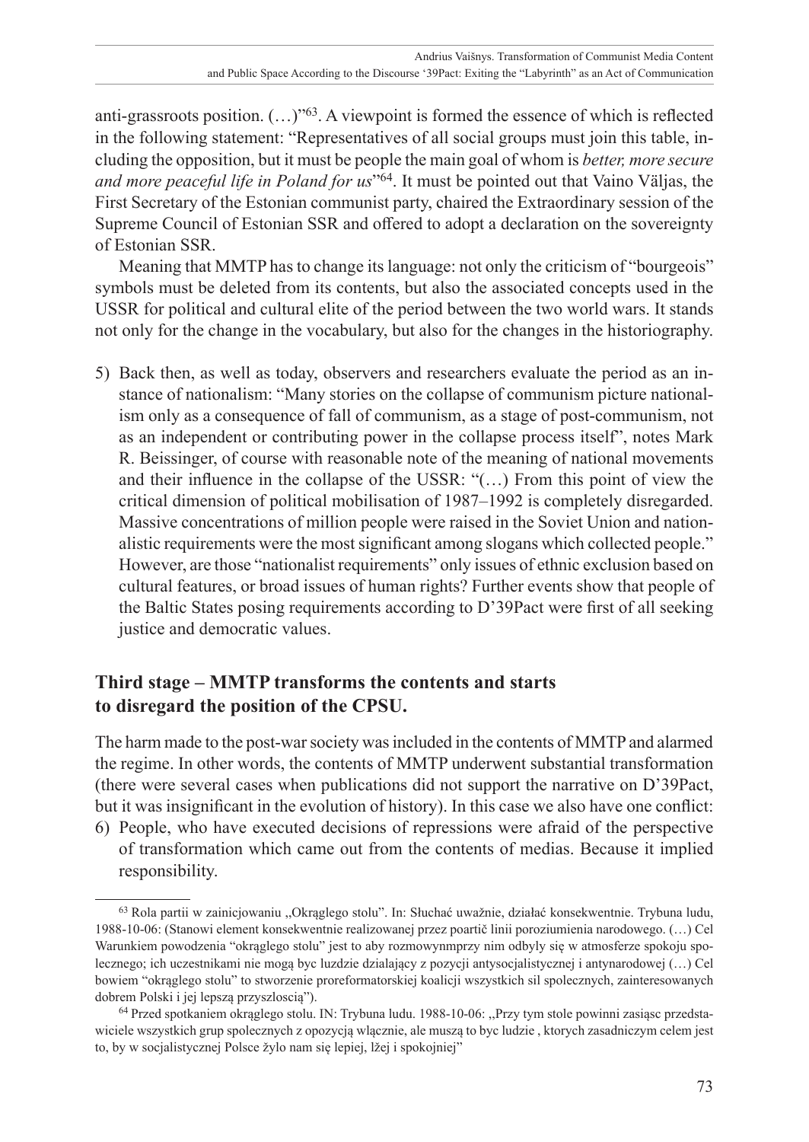anti-grassroots position. (…)"63. A viewpoint is formed the essence of which is reflected in the following statement: "Representatives of all social groups must join this table, including the opposition, but it must be people the main goal of whom is *better, more secure and more peaceful life in Poland for us*"64. It must be pointed out that Vaino Väljas, the First Secretary of the Estonian communist party, chaired the Extraordinary session of the Supreme Council of Estonian SSR and offered to adopt a declaration on the sovereignty of Estonian SSR.

Meaning that MMTP has to change its language: not only the criticism of "bourgeois" symbols must be deleted from its contents, but also the associated concepts used in the USSR for political and cultural elite of the period between the two world wars. It stands not only for the change in the vocabulary, but also for the changes in the historiography.

5) Back then, as well as today, observers and researchers evaluate the period as an instance of nationalism: "Many stories on the collapse of communism picture nationalism only as a consequence of fall of communism, as a stage of post-communism, not as an independent or contributing power in the collapse process itself", notes Mark R. Beissinger, of course with reasonable note of the meaning of national movements and their influence in the collapse of the USSR: "(…) From this point of view the critical dimension of political mobilisation of 1987–1992 is completely disregarded. Massive concentrations of million people were raised in the Soviet Union and nationalistic requirements were the most significant among slogans which collected people." However, are those "nationalist requirements" only issues of ethnic exclusion based on cultural features, or broad issues of human rights? Further events show that people of the Baltic States posing requirements according to D'39Pact were first of all seeking justice and democratic values.

# **Third stage – MMTP transforms the contents and starts to disregard the position of the CPSU.**

The harm made to the post-war society was included in the contents of MMTP and alarmed the regime. In other words, the contents of MMTP underwent substantial transformation (there were several cases when publications did not support the narrative on D'39Pact, but it was insignificant in the evolution of history). In this case we also have one conflict: 6) People, who have executed decisions of repressions were afraid of the perspective

of transformation which came out from the contents of medias. Because it implied responsibility.

<sup>63</sup> Rola partii w zainicjowaniu ,,Okrąglego stolu". In: Słuchać uwažnie, działać konsekwentnie. Trybuna ludu, 1988-10-06: (Stanowi element konsekwentnie realizowanej przez poartič linii poroziumienia narodowego. (…) Cel Warunkiem powodzenia "okrąglego stolu" jest to aby rozmowynmprzy nim odbyly się w atmosferze spokoju spolecznego; ich uczestnikami nie mogą byc luzdzie dzialający z pozycji antysocjalistycznej i antynarodowej (…) Cel bowiem "okrąglego stolu" to stworzenie proreformatorskiej koalicji wszystkich sil spolecznych, zainteresowanych dobrem Polski i jej lepszą przyszloscią").

<sup>64</sup> Przed spotkaniem okrąglego stolu. IN: Trybuna ludu. 1988-10-06: ,,Przy tym stole powinni zasiąsc przedstawiciele wszystkich grup spolecznych z opozycją wlącznie, ale muszą to byc ludzie , ktorych zasadniczym celem jest to, by w socjalistycznej Polsce žylo nam się lepiej, lžej i spokojniej"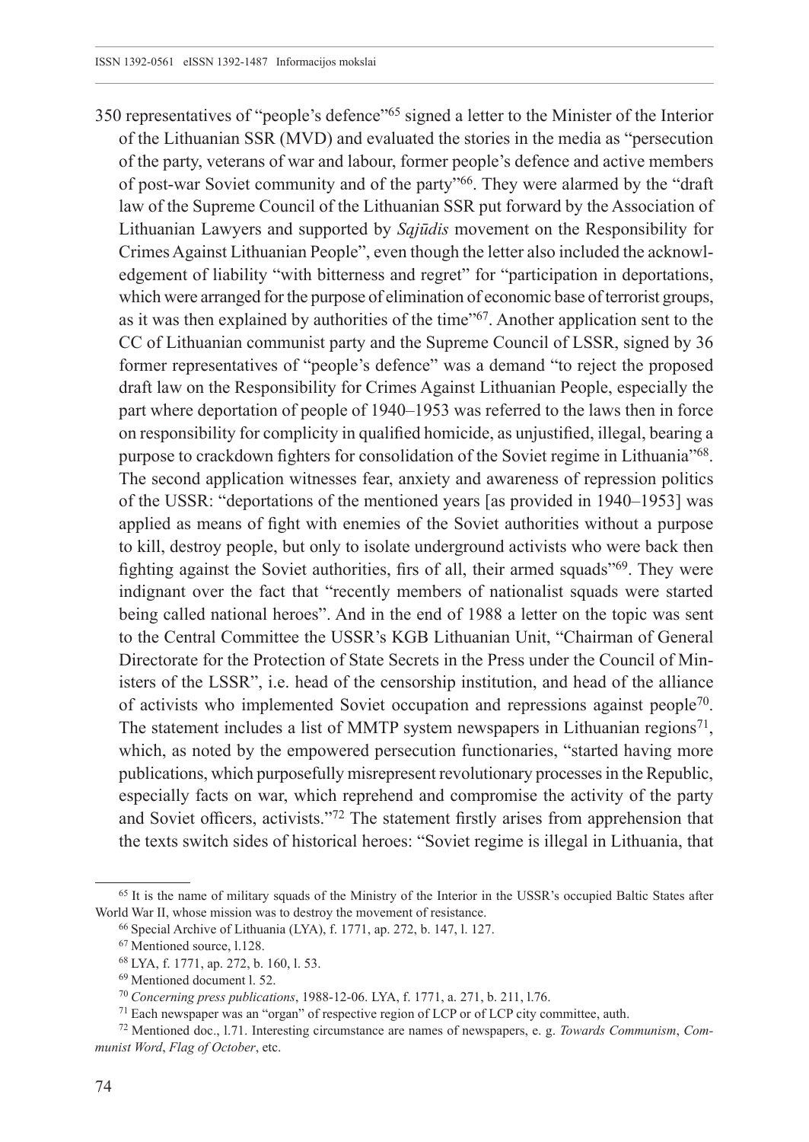350 representatives of "people's defence"65 signed a letter to the Minister of the Interior of the Lithuanian SSR (MVD) and evaluated the stories in the media as "persecution of the party, veterans of war and labour, former people's defence and active members of post-war Soviet community and of the party"66. They were alarmed by the "draft law of the Supreme Council of the Lithuanian SSR put forward by the Association of Lithuanian Lawyers and supported by *Sąjūdis* movement on the Responsibility for Crimes Against Lithuanian People", even though the letter also included the acknowledgement of liability "with bitterness and regret" for "participation in deportations, which were arranged for the purpose of elimination of economic base of terrorist groups, as it was then explained by authorities of the time"67. Another application sent to the CC of Lithuanian communist party and the Supreme Council of LSSR, signed by 36 former representatives of "people's defence" was a demand "to reject the proposed draft law on the Responsibility for Crimes Against Lithuanian People, especially the part where deportation of people of 1940–1953 was referred to the laws then in force on responsibility for complicity in qualified homicide, as unjustified, illegal, bearing a purpose to crackdown fighters for consolidation of the Soviet regime in Lithuania"68. The second application witnesses fear, anxiety and awareness of repression politics of the USSR: "deportations of the mentioned years [as provided in 1940–1953] was applied as means of fight with enemies of the Soviet authorities without a purpose to kill, destroy people, but only to isolate underground activists who were back then fighting against the Soviet authorities, firs of all, their armed squads"69. They were indignant over the fact that "recently members of nationalist squads were started being called national heroes". And in the end of 1988 a letter on the topic was sent to the Central Committee the USSR's KGB Lithuanian Unit, "Chairman of General Directorate for the Protection of State Secrets in the Press under the Council of Ministers of the LSSR", i.e. head of the censorship institution, and head of the alliance of activists who implemented Soviet occupation and repressions against people70. The statement includes a list of MMTP system newspapers in Lithuanian regions<sup>71</sup>, which, as noted by the empowered persecution functionaries, "started having more publications, which purposefully misrepresent revolutionary processes in the Republic, especially facts on war, which reprehend and compromise the activity of the party and Soviet officers, activists."72 The statement firstly arises from apprehension that the texts switch sides of historical heroes: "Soviet regime is illegal in Lithuania, that

<sup>65</sup> It is the name of military squads of the Ministry of the Interior in the USSR's occupied Baltic States after World War II, whose mission was to destroy the movement of resistance.

<sup>66</sup> Special Archive of Lithuania (LYA), f. 1771, ap. 272, b. 147, l. 127.

<sup>67</sup> Mentioned source, l.128.

<sup>68</sup> LYA, f. 1771, ap. 272, b. 160, l. 53.

<sup>69</sup> Mentioned document l. 52.

<sup>70</sup> *Concerning press publications*, 1988-12-06. LYA, f. 1771, a. 271, b. 211, l.76.

<sup>71</sup> Each newspaper was an "organ" of respective region of LCP or of LCP city committee, auth.

<sup>72</sup> Mentioned doc., l.71. Interesting circumstance are names of newspapers, e. g. *Towards Communism*, *Communist Word*, *Flag of October*, etc.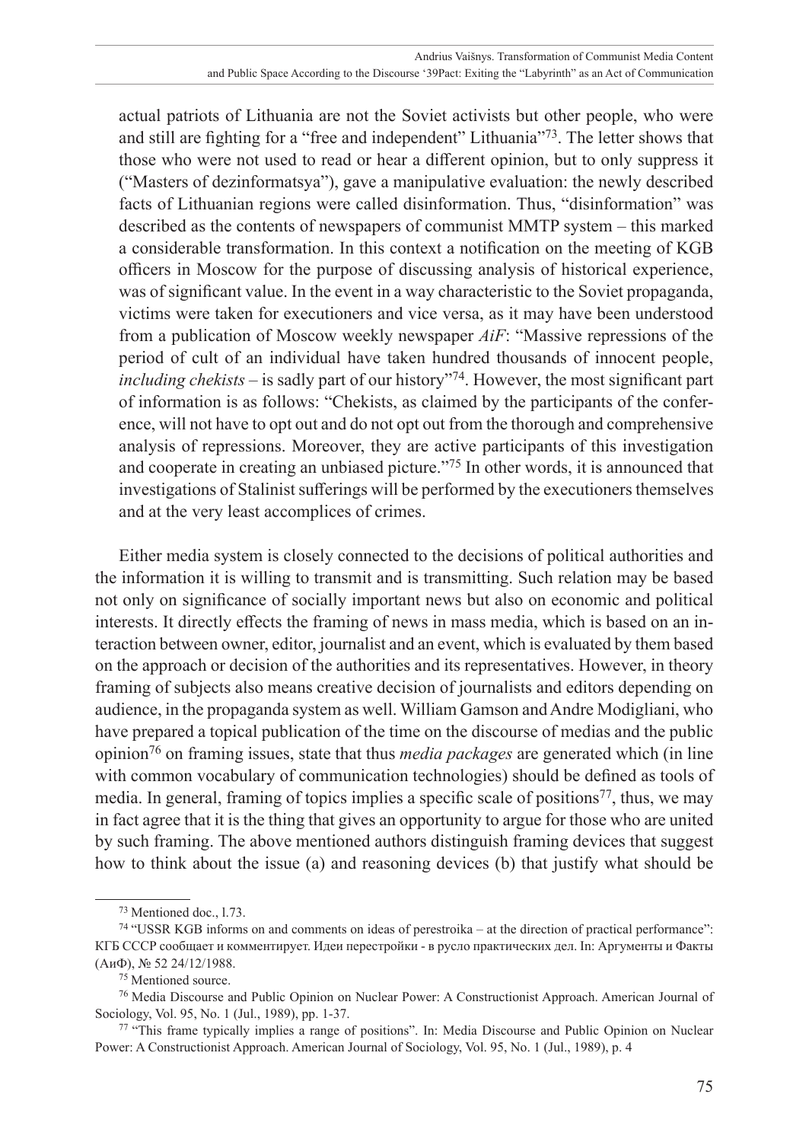actual patriots of Lithuania are not the Soviet activists but other people, who were and still are fighting for a "free and independent" Lithuania"73. The letter shows that those who were not used to read or hear a different opinion, but to only suppress it ("Masters of dezinformatsya"), gave a manipulative evaluation: the newly described facts of Lithuanian regions were called disinformation. Thus, "disinformation" was described as the contents of newspapers of communist MMTP system – this marked a considerable transformation. In this context a notification on the meeting of KGB officers in Moscow for the purpose of discussing analysis of historical experience, was of significant value. In the event in a way characteristic to the Soviet propaganda, victims were taken for executioners and vice versa, as it may have been understood from a publication of Moscow weekly newspaper *AiF*: "Massive repressions of the period of cult of an individual have taken hundred thousands of innocent people, *including chekists* – is sadly part of our history"74. However, the most significant part of information is as follows: "Chekists, as claimed by the participants of the conference, will not have to opt out and do not opt out from the thorough and comprehensive analysis of repressions. Moreover, they are active participants of this investigation and cooperate in creating an unbiased picture."75 In other words, it is announced that investigations of Stalinist sufferings will be performed by the executioners themselves and at the very least accomplices of crimes.

Either media system is closely connected to the decisions of political authorities and the information it is willing to transmit and is transmitting. Such relation may be based not only on significance of socially important news but also on economic and political interests. It directly effects the framing of news in mass media, which is based on an interaction between owner, editor, journalist and an event, which is evaluated by them based on the approach or decision of the authorities and its representatives. However, in theory framing of subjects also means creative decision of journalists and editors depending on audience, in the propaganda system as well. William Gamson and Andre Modigliani, who have prepared a topical publication of the time on the discourse of medias and the public opinion76 on framing issues, state that thus *media packages* are generated which (in line with common vocabulary of communication technologies) should be defined as tools of media. In general, framing of topics implies a specific scale of positions<sup>77</sup>, thus, we may in fact agree that it is the thing that gives an opportunity to argue for those who are united by such framing. The above mentioned authors distinguish framing devices that suggest how to think about the issue (a) and reasoning devices (b) that justify what should be

<sup>73</sup> Mentioned doc., l.73.

<sup>74</sup> "USSR KGB informs on and comments on ideas of perestroika – at the direction of practical performance": КГБ СССР сообщает и комментирует. Идеи перестройки - в русло практических дел. In: Аргументы и Факты (АиФ), № 52 24/12/1988.

<sup>75</sup> Mentioned source.

<sup>76</sup> Media Discourse and Public Opinion on Nuclear Power: A Constructionist Approach. American Journal of Sociology, Vol. 95, No. 1 (Jul., 1989), pp. 1-37.

<sup>77</sup> "This frame typically implies a range of positions". In: Media Discourse and Public Opinion on Nuclear Power: A Constructionist Approach. American Journal of Sociology, Vol. 95, No. 1 (Jul., 1989), p. 4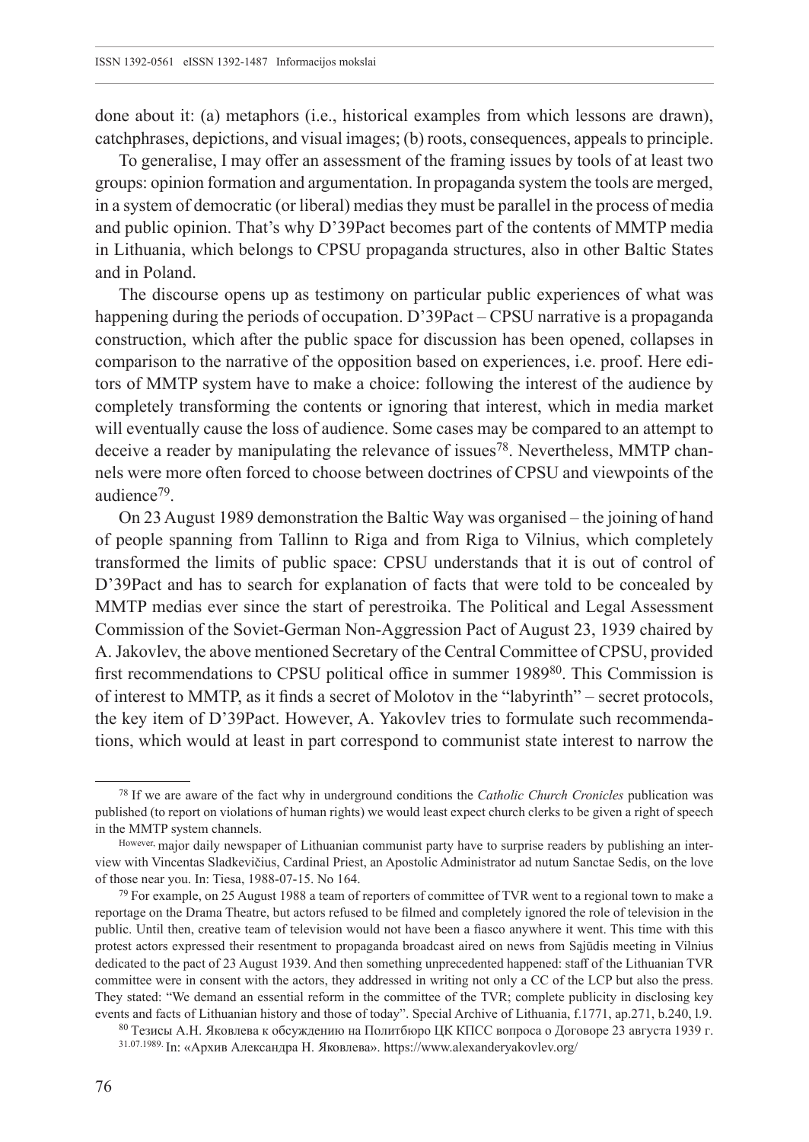done about it: (a) metaphors (i.e., historical examples from which lessons are drawn), catchphrases, depictions, and visual images; (b) roots, consequences, appeals to principle.

To generalise, I may offer an assessment of the framing issues by tools of at least two groups: opinion formation and argumentation. In propaganda system the tools are merged, in a system of democratic (or liberal) medias they must be parallel in the process of media and public opinion. That's why D'39Pact becomes part of the contents of MMTP media in Lithuania, which belongs to CPSU propaganda structures, also in other Baltic States and in Poland.

The discourse opens up as testimony on particular public experiences of what was happening during the periods of occupation. D'39Pact – CPSU narrative is a propaganda construction, which after the public space for discussion has been opened, collapses in comparison to the narrative of the opposition based on experiences, i.e. proof. Here editors of MMTP system have to make a choice: following the interest of the audience by completely transforming the contents or ignoring that interest, which in media market will eventually cause the loss of audience. Some cases may be compared to an attempt to deceive a reader by manipulating the relevance of issues78. Nevertheless, MMTP channels were more often forced to choose between doctrines of CPSU and viewpoints of the audience79.

On 23 August 1989 demonstration the Baltic Way was organised – the joining of hand of people spanning from Tallinn to Riga and from Riga to Vilnius, which completely transformed the limits of public space: CPSU understands that it is out of control of D'39Pact and has to search for explanation of facts that were told to be concealed by MMTP medias ever since the start of perestroika. The Political and Legal Assessment Commission of the Soviet-German Non-Aggression Pact of August 23, 1939 chaired by A. Jakovlev, the above mentioned Secretary of the Central Committee of CPSU, provided first recommendations to CPSU political office in summer 1989<sup>80</sup>. This Commission is of interest to MMTP, as it finds a secret of Molotov in the "labyrinth" – secret protocols, the key item of D'39Pact. However, A. Yakovlev tries to formulate such recommendations, which would at least in part correspond to communist state interest to narrow the

<sup>78</sup> If we are aware of the fact why in underground conditions the *Catholic Church Cronicles* publication was published (to report on violations of human rights) we would least expect church clerks to be given a right of speech in the MMTP system channels.

However, major daily newspaper of Lithuanian communist party have to surprise readers by publishing an interview with Vincentas Sladkevičius, Cardinal Priest, an Apostolic Administrator ad nutum Sanctae Sedis, on the love of those near you. In: Tiesa, 1988-07-15. No 164.

<sup>79</sup> For example, on 25 August 1988 a team of reporters of committee of TVR went to a regional town to make a reportage on the Drama Theatre, but actors refused to be filmed and completely ignored the role of television in the public. Until then, creative team of television would not have been a fiasco anywhere it went. This time with this protest actors expressed their resentment to propaganda broadcast aired on news from Sąjūdis meeting in Vilnius dedicated to the pact of 23 August 1939. And then something unprecedented happened: staff of the Lithuanian TVR committee were in consent with the actors, they addressed in writing not only a CC of the LCP but also the press. They stated: "We demand an essential reform in the committee of the TVR; complete publicity in disclosing key events and facts of Lithuanian history and those of today". Special Archive of Lithuania, f.1771, ap.271, b.240, l.9.

<sup>80</sup> Тезисы А.Н. Яковлева к обсуждению на Политбюро ЦК КПСС вопроса о Договоре 23 августа 1939 г. 31.07.1989. In: «Архив Александра Н. Яковлева». https://www.[alexanderyakovlev](https://www.alexanderyakovlev.org).org/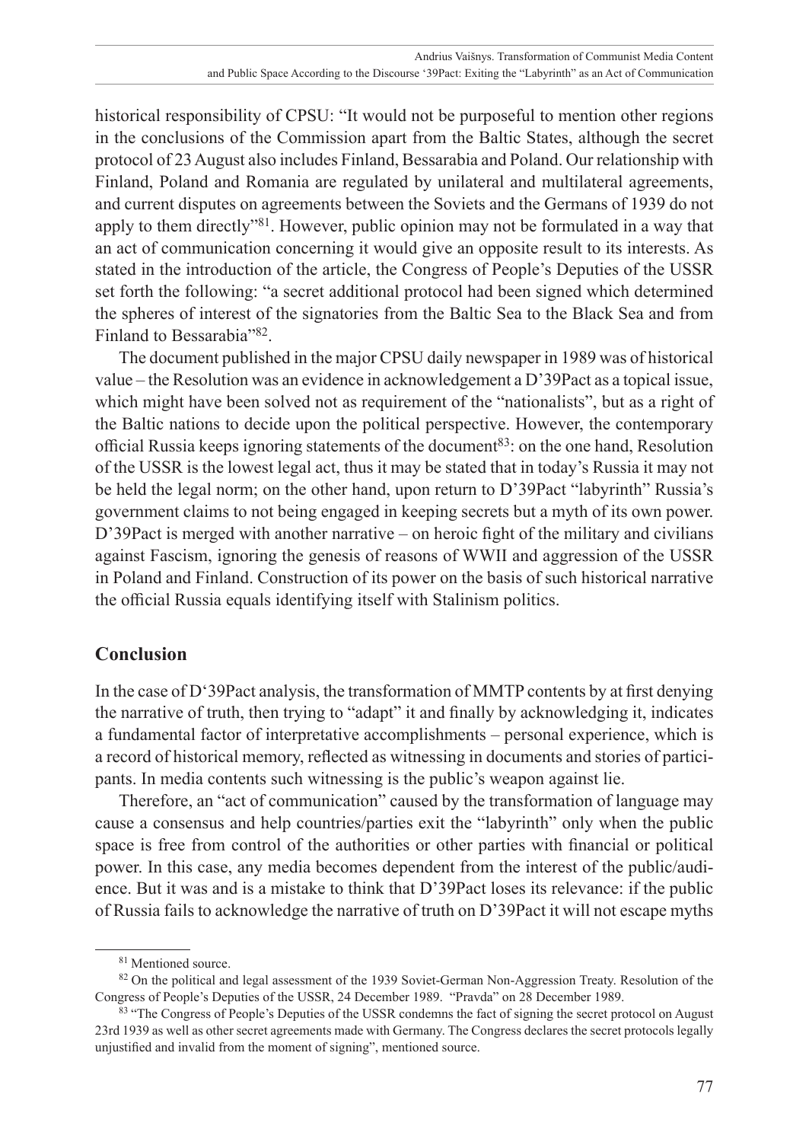historical responsibility of CPSU: "It would not be purposeful to mention other regions in the conclusions of the Commission apart from the Baltic States, although the secret protocol of 23 August also includes Finland, Bessarabia and Poland. Our relationship with Finland, Poland and Romania are regulated by unilateral and multilateral agreements, and current disputes on agreements between the Soviets and the Germans of 1939 do not apply to them directly"81. However, public opinion may not be formulated in a way that an act of communication concerning it would give an opposite result to its interests. As stated in the introduction of the article, the Congress of People's Deputies of the USSR set forth the following: "a secret additional protocol had been signed which determined the spheres of interest of the signatories from the Baltic Sea to the Black Sea and from Finland to Bessarabia"82.

The document published in the major CPSU daily newspaper in 1989 was of historical value – the Resolution was an evidence in acknowledgement a D'39Pact as a topical issue, which might have been solved not as requirement of the "nationalists", but as a right of the Baltic nations to decide upon the political perspective. However, the contemporary official Russia keeps ignoring statements of the document<sup>83</sup>: on the one hand, Resolution of the USSR is the lowest legal act, thus it may be stated that in today's Russia it may not be held the legal norm; on the other hand, upon return to D'39Pact "labyrinth" Russia's government claims to not being engaged in keeping secrets but a myth of its own power. D'39Pact is merged with another narrative – on heroic fight of the military and civilians against Fascism, ignoring the genesis of reasons of WWII and aggression of the USSR in Poland and Finland. Construction of its power on the basis of such historical narrative the official Russia equals identifying itself with Stalinism politics.

# **Conclusion**

In the case of D'39Pact analysis, the transformation of MMTP contents by at first denying the narrative of truth, then trying to "adapt" it and finally by acknowledging it, indicates a fundamental factor of interpretative accomplishments – personal experience, which is a record of historical memory, reflected as witnessing in documents and stories of participants. In media contents such witnessing is the public's weapon against lie.

Therefore, an "act of communication" caused by the transformation of language may cause a consensus and help countries/parties exit the "labyrinth" only when the public space is free from control of the authorities or other parties with financial or political power. In this case, any media becomes dependent from the interest of the public/audience. But it was and is a mistake to think that D'39Pact loses its relevance: if the public of Russia fails to acknowledge the narrative of truth on D'39Pact it will not escape myths

<sup>81</sup> Mentioned source.

<sup>82</sup> On the political and legal assessment of the 1939 Soviet-German Non-Aggression Treaty. Resolution of the Congress of People's Deputies of the USSR, 24 December 1989. "Pravda" on 28 December 1989.

<sup>83 &</sup>quot;The Congress of People's Deputies of the USSR condemns the fact of signing the secret protocol on August 23rd 1939 as well as other secret agreements made with Germany. The Congress declares the secret protocols legally unjustified and invalid from the moment of signing", mentioned source.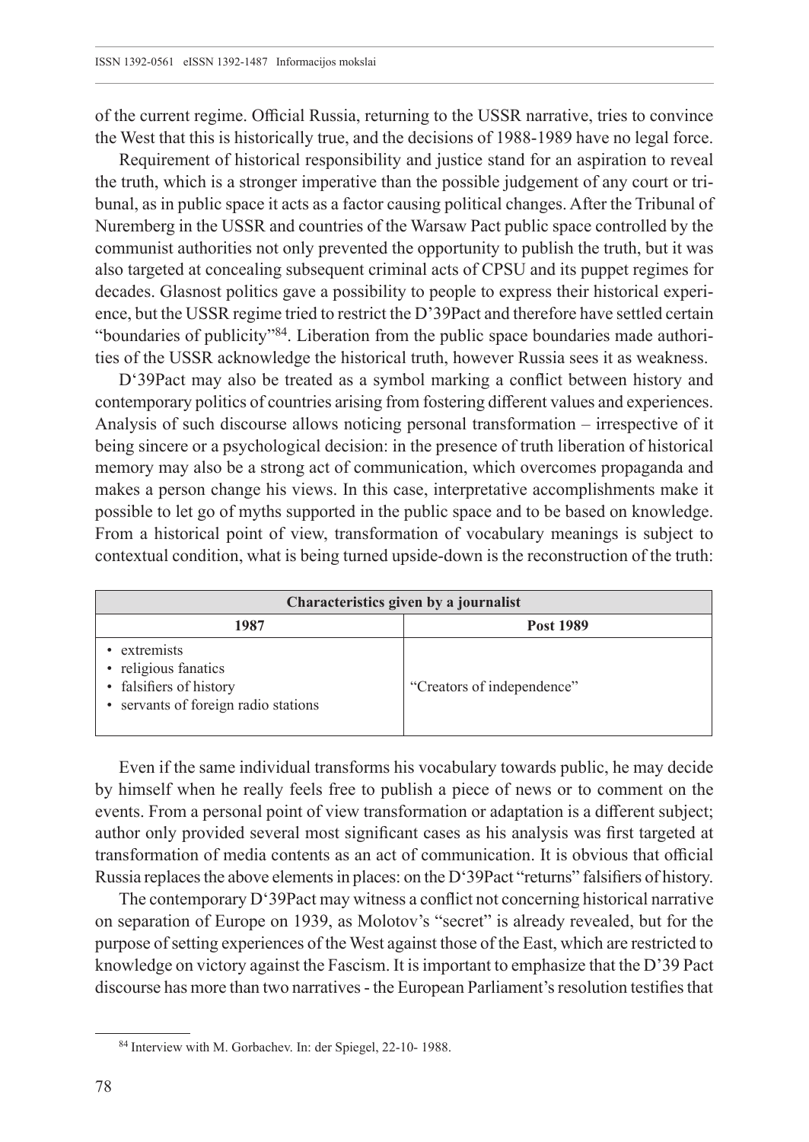of the current regime. Official Russia, returning to the USSR narrative, tries to convince the West that this is historically true, and the decisions of 1988-1989 have no legal force.

Requirement of historical responsibility and justice stand for an aspiration to reveal the truth, which is a stronger imperative than the possible judgement of any court or tribunal, as in public space it acts as a factor causing political changes. After the Tribunal of Nuremberg in the USSR and countries of the Warsaw Pact public space controlled by the communist authorities not only prevented the opportunity to publish the truth, but it was also targeted at concealing subsequent criminal acts of CPSU and its puppet regimes for decades. Glasnost politics gave a possibility to people to express their historical experience, but the USSR regime tried to restrict the D'39Pact and therefore have settled certain "boundaries of publicity"84. Liberation from the public space boundaries made authorities of the USSR acknowledge the historical truth, however Russia sees it as weakness.

D'39Pact may also be treated as a symbol marking a conflict between history and contemporary politics of countries arising from fostering different values and experiences. Analysis of such discourse allows noticing personal transformation – irrespective of it being sincere or a psychological decision: in the presence of truth liberation of historical memory may also be a strong act of communication, which overcomes propaganda and makes a person change his views. In this case, interpretative accomplishments make it possible to let go of myths supported in the public space and to be based on knowledge. From a historical point of view, transformation of vocabulary meanings is subject to contextual condition, what is being turned upside-down is the reconstruction of the truth:

| Characteristics given by a journalist                                                                 |                            |
|-------------------------------------------------------------------------------------------------------|----------------------------|
| 1987                                                                                                  | Post 1989                  |
| extremists<br>• religious fanatics<br>• falsifiers of history<br>• servants of foreign radio stations | "Creators of independence" |

Even if the same individual transforms his vocabulary towards public, he may decide by himself when he really feels free to publish a piece of news or to comment on the events. From a personal point of view transformation or adaptation is a different subject; author only provided several most significant cases as his analysis was first targeted at transformation of media contents as an act of communication. It is obvious that official Russia replaces the above elements in places: on the D'39Pact "returns" falsifiers of history.

The contemporary D'39Pact may witness a conflict not concerning historical narrative on separation of Europe on 1939, as Molotov's "secret" is already revealed, but for the purpose of setting experiences of the West against those of the East, which are restricted to knowledge on victory against the Fascism. It is important to emphasize that the D'39 Pact discourse has more than two narratives - the European Parliament's resolution testifies that

<sup>84</sup> Interview with M. Gorbachev. In: der Spiegel, 22-10- 1988.